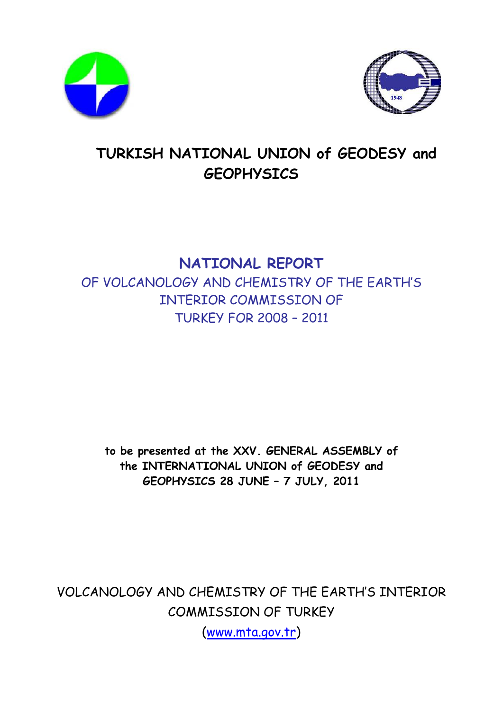



# **TURKISH NATIONAL UNION of GEODESY and GEOPHYSICS**

## **NATIONAL REPORT**

OF VOLCANOLOGY AND CHEMISTRY OF THE EARTH'S INTERIOR COMMISSION OF TURKEY FOR 2008 – 2011

**to be presented at the XXV. GENERAL ASSEMBLY of the INTERNATIONAL UNION of GEODESY and GEOPHYSICS 28 JUNE – 7 JULY, 2011** 

VOLCANOLOGY AND CHEMISTRY OF THE EARTH'S INTERIOR COMMISSION OF TURKEY

(www.mta.gov.tr)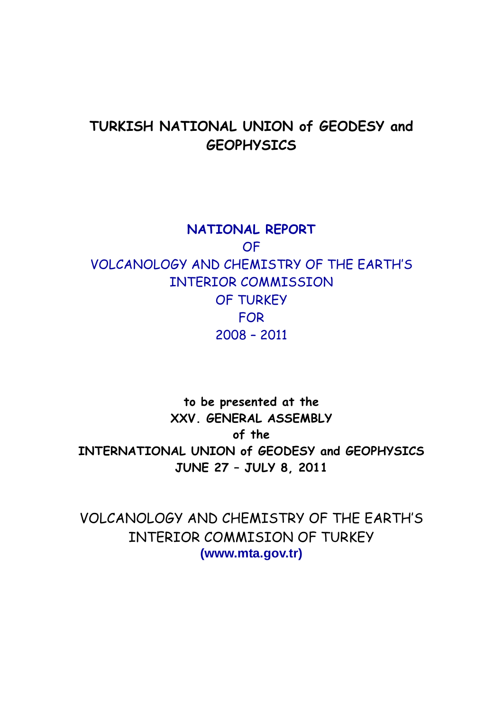## **TURKISH NATIONAL UNION of GEODESY and GEOPHYSICS**

**NATIONAL REPORT**  OF VOLCANOLOGY AND CHEMISTRY OF THE EARTH'S INTERIOR COMMISSION OF TURKEY FOR 2008 – 2011

**to be presented at the XXV. GENERAL ASSEMBLY of the INTERNATIONAL UNION of GEODESY and GEOPHYSICS JUNE 27 – JULY 8, 2011** 

VOLCANOLOGY AND CHEMISTRY OF THE EARTH'S INTERIOR COMMISION OF TURKEY **(www.mta.gov.tr)**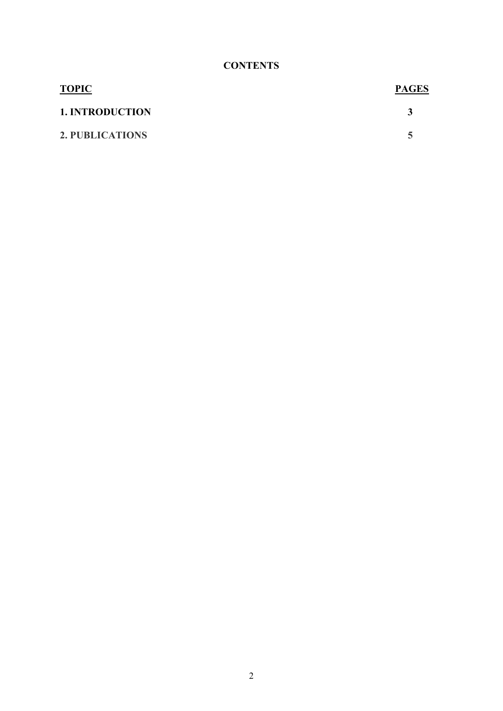### **CONTENTS**

| <b>TOPIC</b>           | <b>PAGES</b> |
|------------------------|--------------|
| <b>1. INTRODUCTION</b> |              |
| 2. PUBLICATIONS        |              |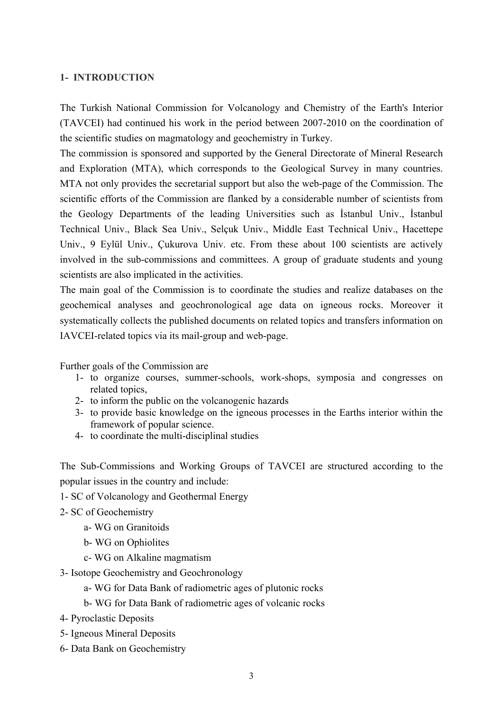### **1- INTRODUCTION**

The Turkish National Commission for Volcanology and Chemistry of the Earth's Interior (TAVCEI) had continued his work in the period between 2007-2010 on the coordination of the scientific studies on magmatology and geochemistry in Turkey.

The commission is sponsored and supported by the General Directorate of Mineral Research and Exploration (MTA), which corresponds to the Geological Survey in many countries. MTA not only provides the secretarial support but also the web-page of the Commission. The scientific efforts of the Commission are flanked by a considerable number of scientists from the Geology Departments of the leading Universities such as İstanbul Univ., İstanbul Technical Univ., Black Sea Univ., Selçuk Univ., Middle East Technical Univ., Hacettepe Univ., 9 Eylül Univ., Çukurova Univ. etc. From these about 100 scientists are actively involved in the sub-commissions and committees. A group of graduate students and young scientists are also implicated in the activities.

The main goal of the Commission is to coordinate the studies and realize databases on the geochemical analyses and geochronological age data on igneous rocks. Moreover it systematically collects the published documents on related topics and transfers information on IAVCEI-related topics via its mail-group and web-page.

Further goals of the Commission are

- 1- to organize courses, summer-schools, work-shops, symposia and congresses on related topics,
- 2- to inform the public on the volcanogenic hazards
- 3- to provide basic knowledge on the igneous processes in the Earths interior within the framework of popular science.
- 4- to coordinate the multi-disciplinal studies

The Sub-Commissions and Working Groups of TAVCEI are structured according to the popular issues in the country and include:

- 1- SC of Volcanology and Geothermal Energy
- 2- SC of Geochemistry
	- a- WG on Granitoids
	- b- WG on Ophiolites
	- c- WG on Alkaline magmatism
- 3- Isotope Geochemistry and Geochronology
	- a- WG for Data Bank of radiometric ages of plutonic rocks
	- b- WG for Data Bank of radiometric ages of volcanic rocks
- 4- Pyroclastic Deposits
- 5- Igneous Mineral Deposits
- 6- Data Bank on Geochemistry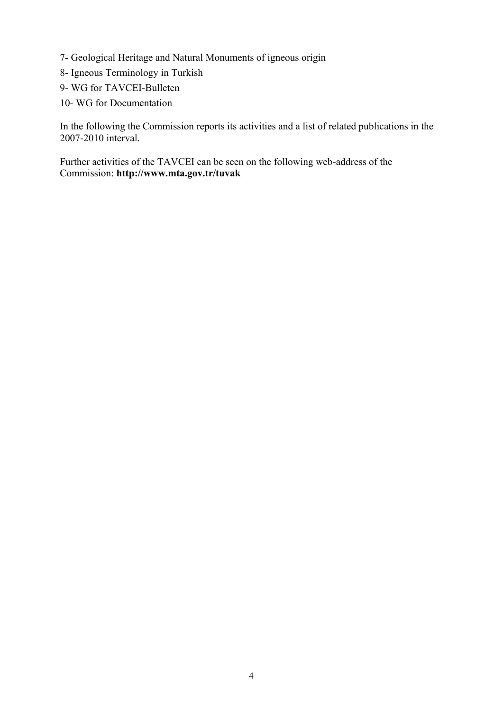- 7- Geological Heritage and Natural Monuments of igneous origin
- 8- Igneous Terminology in Turkish
- 9- WG for TAVCEI-Bulleten
- 10- WG for Documentation

In the following the Commission reports its activities and a list of related publications in the 2007-2010 interval.

Further activities of the TAVCEI can be seen on the following web-address of the Commission: **http://www.mta.gov.tr/tuvak**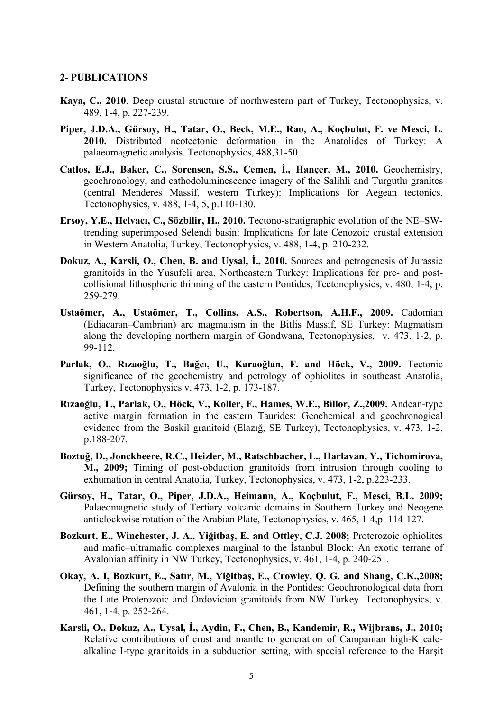#### **2- PUBLICATIONS**

- **Kaya, C., 2010**. Deep crustal structure of northwestern part of Turkey, Tectonophysics, v. 489, 1-4, p. 227-239.
- **Piper, J.D.A., Gürsoy, H., Tatar, O., Beck, M.E., Rao, A., Koçbulut, F. ve Mesci, L. 2010.** Distributed neotectonic deformation in the Anatolides of Turkey: A palaeomagnetic analysis. Tectonophysics, 488,31-50.
- **Catlos, E.J., Baker, C., Sorensen, S.S., Çemen, İ., Hançer, M., 2010.** [Geochemistry,](http://www.sciencedirect.com/science?_ob=ArticleURL&_udi=B6V72-4WGVPNS-1&_user=10&_coverDate=06%2F05%2F2010&_rdoc=9&_fmt=high&_orig=browse&_origin=browse&_zone=rslt_list_item&_srch=doc-info(%23toc%235830%232010%23995119998%232158739%23FLA%23display%23Volume)&_cdi=5830&_sort=d&_docanchor=&_ct=22&_acct=C000050221&_version=1&_urlVersion=0&_userid=10&md5=043b0a44aa2a1ada13326efd632bd501&searchtype=a)  [geochronology, and cathodoluminescence imagery of the Salihli and Turgutlu granites](http://www.sciencedirect.com/science?_ob=ArticleURL&_udi=B6V72-4WGVPNS-1&_user=10&_coverDate=06%2F05%2F2010&_rdoc=9&_fmt=high&_orig=browse&_origin=browse&_zone=rslt_list_item&_srch=doc-info(%23toc%235830%232010%23995119998%232158739%23FLA%23display%23Volume)&_cdi=5830&_sort=d&_docanchor=&_ct=22&_acct=C000050221&_version=1&_urlVersion=0&_userid=10&md5=043b0a44aa2a1ada13326efd632bd501&searchtype=a)  [\(central Menderes Massif, western Turkey\): Implications for Aegean tectonics](http://www.sciencedirect.com/science?_ob=ArticleURL&_udi=B6V72-4WGVPNS-1&_user=10&_coverDate=06%2F05%2F2010&_rdoc=9&_fmt=high&_orig=browse&_origin=browse&_zone=rslt_list_item&_srch=doc-info(%23toc%235830%232010%23995119998%232158739%23FLA%23display%23Volume)&_cdi=5830&_sort=d&_docanchor=&_ct=22&_acct=C000050221&_version=1&_urlVersion=0&_userid=10&md5=043b0a44aa2a1ada13326efd632bd501&searchtype=a), Tectonophysics, [v. 488, 1-4,](http://www.sciencedirect.com/science?_ob=PublicationURL&_tockey=%23TOC%235830%232010%23995119998%232158739%23FLA%23&_cdi=5830&_pubType=J&view=c&_auth=y&_acct=C000050221&_version=1&_urlVersion=0&_userid=10&md5=172b8b13ba11e090ffa44e5ad73418d8) 5, p.110-130.
- **Ersoy, Y.E., Helvacı, C., Sözbilir, H., 2010.** [Tectono-stratigraphic evolution of the NE–SW](http://www.sciencedirect.com/science?_ob=ArticleURL&_udi=B6V72-4Y6S7H0-1&_user=10&_coverDate=06%2F05%2F2010&_rdoc=16&_fmt=high&_orig=browse&_origin=browse&_zone=rslt_list_item&_srch=doc-info(%23toc%235830%232010%23995119998%232158739%23FLA%23display%23Volume)&_cdi=5830&_sort=d&_docanchor=&_ct=22&_acct=C000050221&_version=1&_urlVersion=0&_userid=10&md5=a6e610b4c514463eb02738375991b69e&searchtype=a)[trending superimposed Selendi basin: Implications for late Cenozoic crustal extension](http://www.sciencedirect.com/science?_ob=ArticleURL&_udi=B6V72-4Y6S7H0-1&_user=10&_coverDate=06%2F05%2F2010&_rdoc=16&_fmt=high&_orig=browse&_origin=browse&_zone=rslt_list_item&_srch=doc-info(%23toc%235830%232010%23995119998%232158739%23FLA%23display%23Volume)&_cdi=5830&_sort=d&_docanchor=&_ct=22&_acct=C000050221&_version=1&_urlVersion=0&_userid=10&md5=a6e610b4c514463eb02738375991b69e&searchtype=a)  [in Western Anatolia, Turkey,](http://www.sciencedirect.com/science?_ob=ArticleURL&_udi=B6V72-4Y6S7H0-1&_user=10&_coverDate=06%2F05%2F2010&_rdoc=16&_fmt=high&_orig=browse&_origin=browse&_zone=rslt_list_item&_srch=doc-info(%23toc%235830%232010%23995119998%232158739%23FLA%23display%23Volume)&_cdi=5830&_sort=d&_docanchor=&_ct=22&_acct=C000050221&_version=1&_urlVersion=0&_userid=10&md5=a6e610b4c514463eb02738375991b69e&searchtype=a) [Tectonophysics,](http://www.sciencedirect.com/science/journal/00401951) [v. 488, 1-4,](http://www.sciencedirect.com/science?_ob=PublicationURL&_tockey=%23TOC%235830%232010%23995119998%232158739%23FLA%23&_cdi=5830&_pubType=J&view=c&_auth=y&_acct=C000050221&_version=1&_urlVersion=0&_userid=10&md5=172b8b13ba11e090ffa44e5ad73418d8) p. 210-232.
- **Dokuz, A., Karsli, O., Chen, B. and Uysal, İ., 2010.** Sources and petrogenesis of Jurassic granitoids in the Yusufeli area, Northeastern Turkey: Implications for pre- and postcollisional lithospheric thinning of the eastern Pontides, [Tectonophysics](http://www.sciencedirect.com/science/journal/00401951), [v. 480, 1-4,](http://www.sciencedirect.com/science?_ob=PublicationURL&_tockey=%23TOC%235830%232010%23995199998%231578180%23FLA%23&_cdi=5830&_pubType=J&view=c&_auth=y&_acct=C000050221&_version=1&_urlVersion=0&_userid=10&md5=9381cfda3a164662d16a75e8fbc88573) p. 259-279.
- **Ustaömer, A., Ustaömer, T., Collins, A.S., Robertson, A.H.F., 2009.** Cadomian (Ediacaran–Cambrian) arc magmatism in the Bitlis Massif, SE Turkey: Magmatism along the developing northern margin of Gondwana, [Tectonophysics,](http://www.sciencedirect.com/science/journal/00401951) v. 473, 1-2, p. 99-112.
- **Parlak, O., Rızaoğlu, T., Bağcı, U., Karaoğlan, F. and Höck, V., 2009.** [Tectonic](http://www.sciencedirect.com/science?_ob=ArticleURL&_udi=B6V72-4T6CTHH-1&_user=10&_coverDate=07%2F20%2F2009&_rdoc=12&_fmt=high&_orig=browse&_origin=browse&_zone=rslt_list_item&_srch=doc-info(%23toc%235830%232009%23995269998%231262054%23FLA%23display%23Volume)&_cdi=5830&_sort=d&_docanchor=&_ct=17&_acct=C000050221&_version=1&_urlVersion=0&_userid=10&md5=fa07250cd252f3ceab9d316aef95cd0d&searchtype=a)  [significance of the geochemistry and petrology of ophiolites in southeast Anatolia,](http://www.sciencedirect.com/science?_ob=ArticleURL&_udi=B6V72-4T6CTHH-1&_user=10&_coverDate=07%2F20%2F2009&_rdoc=12&_fmt=high&_orig=browse&_origin=browse&_zone=rslt_list_item&_srch=doc-info(%23toc%235830%232009%23995269998%231262054%23FLA%23display%23Volume)&_cdi=5830&_sort=d&_docanchor=&_ct=17&_acct=C000050221&_version=1&_urlVersion=0&_userid=10&md5=fa07250cd252f3ceab9d316aef95cd0d&searchtype=a)  [Turkey,](http://www.sciencedirect.com/science?_ob=ArticleURL&_udi=B6V72-4T6CTHH-1&_user=10&_coverDate=07%2F20%2F2009&_rdoc=12&_fmt=high&_orig=browse&_origin=browse&_zone=rslt_list_item&_srch=doc-info(%23toc%235830%232009%23995269998%231262054%23FLA%23display%23Volume)&_cdi=5830&_sort=d&_docanchor=&_ct=17&_acct=C000050221&_version=1&_urlVersion=0&_userid=10&md5=fa07250cd252f3ceab9d316aef95cd0d&searchtype=a) [Tectonophysics](http://www.sciencedirect.com/science/journal/00401951) [v. 473, 1-2](http://www.sciencedirect.com/science?_ob=PublicationURL&_tockey=%23TOC%235830%232009%23995269998%231262054%23FLA%23&_cdi=5830&_pubType=J&view=c&_auth=y&_acct=C000050221&_version=1&_urlVersion=0&_userid=10&md5=8f896e560d224755730948eec04b00e4), p. 173-187.
- **Rızaoğlu, T., Parlak, O., Höck, V., Koller, F., Hames, W.E., Billor, Z.,2009.** [Andean-type](http://www.sciencedirect.com/science?_ob=ArticleURL&_udi=B6V72-4T8HHB7-2&_user=10&_coverDate=07%2F20%2F2009&_rdoc=13&_fmt=high&_orig=browse&_origin=browse&_zone=rslt_list_item&_srch=doc-info(%23toc%235830%232009%23995269998%231262054%23FLA%23display%23Volume)&_cdi=5830&_sort=d&_docanchor=&_ct=17&_acct=C000050221&_version=1&_urlVersion=0&_userid=10&md5=35a8dbbd3143d15ddc908c82eb50a582&searchtype=a)  [active margin formation in the eastern Taurides: Geochemical and geochronogical](http://www.sciencedirect.com/science?_ob=ArticleURL&_udi=B6V72-4T8HHB7-2&_user=10&_coverDate=07%2F20%2F2009&_rdoc=13&_fmt=high&_orig=browse&_origin=browse&_zone=rslt_list_item&_srch=doc-info(%23toc%235830%232009%23995269998%231262054%23FLA%23display%23Volume)&_cdi=5830&_sort=d&_docanchor=&_ct=17&_acct=C000050221&_version=1&_urlVersion=0&_userid=10&md5=35a8dbbd3143d15ddc908c82eb50a582&searchtype=a)  [evidence from the Baskil granitoid \(Elazı](http://www.sciencedirect.com/science?_ob=ArticleURL&_udi=B6V72-4T8HHB7-2&_user=10&_coverDate=07%2F20%2F2009&_rdoc=13&_fmt=high&_orig=browse&_origin=browse&_zone=rslt_list_item&_srch=doc-info(%23toc%235830%232009%23995269998%231262054%23FLA%23display%23Volume)&_cdi=5830&_sort=d&_docanchor=&_ct=17&_acct=C000050221&_version=1&_urlVersion=0&_userid=10&md5=35a8dbbd3143d15ddc908c82eb50a582&searchtype=a)ğ, SE Turkey), [Tectonophysics,](http://www.sciencedirect.com/science/journal/00401951) v. 473, 1-2, p.188-207.
- **Boztuğ, D., Jonckheere, R.C., Heizler, M., Ratschbacher, L., Harlavan, Y., Tichomirova, M., 2009;** [Timing of post-obduction granitoids from intrusion through cooling to](http://www.sciencedirect.com/science?_ob=ArticleURL&_udi=B6V72-4SP3SM0-2&_user=10&_coverDate=07%2F20%2F2009&_rdoc=15&_fmt=high&_orig=browse&_origin=browse&_zone=rslt_list_item&_srch=doc-info(%23toc%235830%232009%23995269998%231262054%23FLA%23display%23Volume)&_cdi=5830&_sort=d&_docanchor=&_ct=17&_acct=C000050221&_version=1&_urlVersion=0&_userid=10&md5=697e6abf7402f022b05d680b6066a675&searchtype=a)  [exhumation in central Anatolia, Turkey,](http://www.sciencedirect.com/science?_ob=ArticleURL&_udi=B6V72-4SP3SM0-2&_user=10&_coverDate=07%2F20%2F2009&_rdoc=15&_fmt=high&_orig=browse&_origin=browse&_zone=rslt_list_item&_srch=doc-info(%23toc%235830%232009%23995269998%231262054%23FLA%23display%23Volume)&_cdi=5830&_sort=d&_docanchor=&_ct=17&_acct=C000050221&_version=1&_urlVersion=0&_userid=10&md5=697e6abf7402f022b05d680b6066a675&searchtype=a) [Tectonophysics](http://www.sciencedirect.com/science/journal/00401951), v. 473, 1-2, p.223-233.
- **Gürsoy, H., Tatar, O., Piper, J.D.A., Heimann, A., Koçbulut, F., Mesci, B.L. 2009;** Palaeomagnetic study of Tertiary volcanic domains in Southern Turkey and Neogene anticlockwise rotation of the Arabian Plate, [Tectonophysics](http://www.sciencedirect.com/science/journal/00401951), [v. 465, 1-4](http://www.sciencedirect.com/science?_ob=PublicationURL&_tockey=%23TOC%235830%232009%23995349998%23908059%23FLA%23&_cdi=5830&_pubType=J&view=c&_auth=y&_acct=C000050221&_version=1&_urlVersion=0&_userid=10&md5=0ade51f1a175e83672d6f2200f8644a8),p. 114-127.
- **Bozkurt, E., Winchester, J. A., Yiğitbaş, E. and Ottley, C.J. 2008;** [Proterozoic ophiolites](http://www.sciencedirect.com/science?_ob=ArticleURL&_udi=B6V72-4SG4HHD-3&_user=10&_coverDate=12%2F01%2F2008&_rdoc=17&_fmt=high&_orig=browse&_origin=browse&_zone=rslt_list_item&_srch=doc-info(%23toc%235830%232008%23995389998%23701678%23FLA%23display%23Volume)&_cdi=5830&_sort=d&_docanchor=&_ct=29&_acct=C000050221&_version=1&_urlVersion=0&_userid=10&md5=205a32ed6009882962987418418ea885&searchtype=a)  [and mafic–ultramafic complexes marginal to the](http://www.sciencedirect.com/science?_ob=ArticleURL&_udi=B6V72-4SG4HHD-3&_user=10&_coverDate=12%2F01%2F2008&_rdoc=17&_fmt=high&_orig=browse&_origin=browse&_zone=rslt_list_item&_srch=doc-info(%23toc%235830%232008%23995389998%23701678%23FLA%23display%23Volume)&_cdi=5830&_sort=d&_docanchor=&_ct=29&_acct=C000050221&_version=1&_urlVersion=0&_userid=10&md5=205a32ed6009882962987418418ea885&searchtype=a) İstanbul Block: An exotic terrane of [Avalonian affinity in NW Turkey,](http://www.sciencedirect.com/science?_ob=ArticleURL&_udi=B6V72-4SG4HHD-3&_user=10&_coverDate=12%2F01%2F2008&_rdoc=17&_fmt=high&_orig=browse&_origin=browse&_zone=rslt_list_item&_srch=doc-info(%23toc%235830%232008%23995389998%23701678%23FLA%23display%23Volume)&_cdi=5830&_sort=d&_docanchor=&_ct=29&_acct=C000050221&_version=1&_urlVersion=0&_userid=10&md5=205a32ed6009882962987418418ea885&searchtype=a) [Tectonophysics,](http://www.sciencedirect.com/science/journal/00401951) [v. 461, 1-4,](http://www.sciencedirect.com/science?_ob=PublicationURL&_tockey=%23TOC%235830%232008%23995389998%23701678%23FLA%23&_cdi=5830&_pubType=J&view=c&_auth=y&_acct=C000050221&_version=1&_urlVersion=0&_userid=10&md5=df867c945fa2c9d75d9e9c464cef528b) p. 240-251.
- **Okay, A. I, Bozkurt, E., Satır, M., Yiğitbaş, E., Crowley, Q. G. and Shang, C.K.,2008;** [Defining the southern margin of Avalonia in the Pontides: Geochronological data from](http://www.sciencedirect.com/science?_ob=ArticleURL&_udi=B6V72-4RVVHKS-8&_user=10&_coverDate=12%2F01%2F2008&_rdoc=18&_fmt=high&_orig=browse&_origin=browse&_zone=rslt_list_item&_srch=doc-info(%23toc%235830%232008%23995389998%23701678%23FLA%23display%23Volume)&_cdi=5830&_sort=d&_docanchor=&_ct=29&_acct=C000050221&_version=1&_urlVersion=0&_userid=10&md5=18f755ac706e248bb216122f73ab2e16&searchtype=a)  [the Late Proterozoic and Ordovician granitoids from NW Turkey.](http://www.sciencedirect.com/science?_ob=ArticleURL&_udi=B6V72-4RVVHKS-8&_user=10&_coverDate=12%2F01%2F2008&_rdoc=18&_fmt=high&_orig=browse&_origin=browse&_zone=rslt_list_item&_srch=doc-info(%23toc%235830%232008%23995389998%23701678%23FLA%23display%23Volume)&_cdi=5830&_sort=d&_docanchor=&_ct=29&_acct=C000050221&_version=1&_urlVersion=0&_userid=10&md5=18f755ac706e248bb216122f73ab2e16&searchtype=a) [Tectonophysics,](http://www.sciencedirect.com/science/journal/00401951) [v.](http://www.sciencedirect.com/science?_ob=PublicationURL&_tockey=%23TOC%235830%232008%23995389998%23701678%23FLA%23&_cdi=5830&_pubType=J&view=c&_auth=y&_acct=C000050221&_version=1&_urlVersion=0&_userid=10&md5=df867c945fa2c9d75d9e9c464cef528b)  [461, 1-4](http://www.sciencedirect.com/science?_ob=PublicationURL&_tockey=%23TOC%235830%232008%23995389998%23701678%23FLA%23&_cdi=5830&_pubType=J&view=c&_auth=y&_acct=C000050221&_version=1&_urlVersion=0&_userid=10&md5=df867c945fa2c9d75d9e9c464cef528b), p. 252-264.
- **Karsli, O., Dokuz, A., Uysal, İ., Aydin, F., Chen, B., Kandemir, R., Wijbrans, J., 2010;** Relative contributions of crust and mantle to generation of Campanian high-K calcalkaline I-type granitoids in a subduction setting, with special reference to the Harşit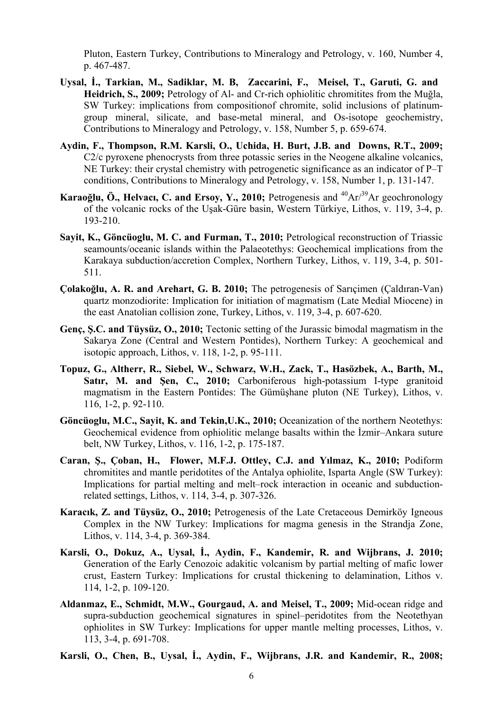Pluton, Eastern Turkey, [Contributions to Mineralogy and Petrology](http://www.springerlink.com/content/0010-7999/)[, v. 160, Number 4](http://www.springerlink.com/content/0010-7999/160/4/), p. 467-487.

- **[Uysal,](http://www.springerlink.com/content/?Author=%c4%b0brahim+Uysal) İ., [Tarkian,](http://www.springerlink.com/content/?Author=Mahmud+Tarkian) M., [Sadiklar](http://www.springerlink.com/content/?Author=M.+Burhan+Sadiklar), M. B, [Zaccarini,](http://www.springerlink.com/content/?Author=Federica+Zaccarini) F., [Meisel,](http://www.springerlink.com/content/?Author=Thomas+Meisel) T., [Garuti,](http://www.springerlink.com/content/?Author=Giorgio+Garuti) G. and [Heidrich,](http://www.springerlink.com/content/?Author=Stefanie+Heidrich) S., 2009;** Petrology of Al- and Cr-rich ophiolitic chromitites from the Muğla, SW Turkey: implications from compositionof chromite, solid inclusions of platinumgroup mineral, silicate, and base-metal mineral, and Os-isotope geochemistry, [Contributions to Mineralogy and Petrology,](http://www.springerlink.com/content/0010-7999/) [v. 158, Number 5,](http://www.springerlink.com/content/0010-7999/158/5/) p. 659-674.
- **[Aydin](http://www.springerlink.com/content/?Author=Faruk+Aydin), F., [Thompson](http://www.springerlink.com/content/?Author=Richard+M.+Thompson), R.M. [Karsli,](http://www.springerlink.com/content/?Author=Orhan+Karsli) O., [Uchida,](http://www.springerlink.com/content/?Author=Hinako+Uchida) H. [Burt](http://www.springerlink.com/content/?Author=Jason+B.+Burt), J.B. and [Downs,](http://www.springerlink.com/content/?Author=Robert+T.+Downs) R.T., 2009;** C2/c pyroxene phenocrysts from three potassic series in the Neogene alkaline volcanics, NE Turkey: their crystal chemistry with petrogenetic significance as an indicator of P–T conditions, [Contributions to Mineralogy and Petrology,](http://www.springerlink.com/content/0010-7999/) [v. 158, Number 1,](http://www.springerlink.com/content/0010-7999/158/1/) p. 131-147.
- **Karaoğlu, Ö., Helvacı, C. and Ersoy, Y., 2010;** Petrogenesis and  ${}^{40}Ar/{}^{39}Ar$  geochronology of the volcanic rocks of the Uşak-Güre basin, Western Türkiye, [Lithos,](http://www.sciencedirect.com/science/journal/00244937) [v. 119, 3-4](http://www.sciencedirect.com/science?_ob=PublicationURL&_tockey=%23TOC%235816%232010%23998809996%232418745%23FLA%23&_cdi=5816&_pubType=J&view=c&_auth=y&_acct=C000050221&_version=1&_urlVersion=0&_userid=10&md5=70bc9efb1b62e867d62208d08e7a8c20), p. 193-210.
- **Sayit, K., Göncüoglu, M. C. and Furman, T., 2010;** [Petrological reconstruction of Triassic](http://www.sciencedirect.com/science?_ob=ArticleURL&_udi=B6V6J-50S8PW5-1&_user=10&_coverDate=10%2F31%2F2010&_rdoc=23&_fmt=high&_orig=browse&_origin=browse&_zone=rslt_list_item&_srch=doc-info(%23toc%235816%232010%23998809996%232418745%23FLA%23display%23Volume)&_cdi=5816&_sort=d&_docanchor=&_ct=32&_acct=C000050221&_version=1&_urlVersion=0&_userid=10&md5=c6526b53da7ebcfaa499ea7d7c7457d9&searchtype=a)  [seamounts/oceanic islands within the Palaeotethys: Geochemical implications from the](http://www.sciencedirect.com/science?_ob=ArticleURL&_udi=B6V6J-50S8PW5-1&_user=10&_coverDate=10%2F31%2F2010&_rdoc=23&_fmt=high&_orig=browse&_origin=browse&_zone=rslt_list_item&_srch=doc-info(%23toc%235816%232010%23998809996%232418745%23FLA%23display%23Volume)&_cdi=5816&_sort=d&_docanchor=&_ct=32&_acct=C000050221&_version=1&_urlVersion=0&_userid=10&md5=c6526b53da7ebcfaa499ea7d7c7457d9&searchtype=a)  [Karakaya subduction/accretion Complex, Northern Turkey](http://www.sciencedirect.com/science?_ob=ArticleURL&_udi=B6V6J-50S8PW5-1&_user=10&_coverDate=10%2F31%2F2010&_rdoc=23&_fmt=high&_orig=browse&_origin=browse&_zone=rslt_list_item&_srch=doc-info(%23toc%235816%232010%23998809996%232418745%23FLA%23display%23Volume)&_cdi=5816&_sort=d&_docanchor=&_ct=32&_acct=C000050221&_version=1&_urlVersion=0&_userid=10&md5=c6526b53da7ebcfaa499ea7d7c7457d9&searchtype=a), [Lithos,](http://www.sciencedirect.com/science/journal/00244937) [v. 119, 3-4,](http://www.sciencedirect.com/science?_ob=PublicationURL&_tockey=%23TOC%235816%232010%23998809996%232418745%23FLA%23&_cdi=5816&_pubType=J&view=c&_auth=y&_acct=C000050221&_version=1&_urlVersion=0&_userid=10&md5=70bc9efb1b62e867d62208d08e7a8c20) p. 501- 511.
- **Çolakoğlu, A. R. and Arehart, G. B. 2010;** The petrogenesis of Sarıçimen (Çaldıran-Van) quartz monzodiorite: Implication for initiation of magmatism (Late Medial Miocene) in the east Anatolian collision zone, Turkey, [Lithos](http://www.sciencedirect.com/science/journal/00244937), [v. 119, 3-4](http://www.sciencedirect.com/science?_ob=PublicationURL&_tockey=%23TOC%235816%232010%23998809996%232418745%23FLA%23&_cdi=5816&_pubType=J&view=c&_auth=y&_acct=C000050221&_version=1&_urlVersion=0&_userid=10&md5=70bc9efb1b62e867d62208d08e7a8c20), p. 607-620.
- **Genç, Ş.C. and Tüysüz, O., 2010;** [Tectonic setting of the Jurassic bimodal magmatism in the](http://www.sciencedirect.com/science?_ob=ArticleURL&_udi=B6V6J-4YV82W6-2&_user=10&_coverDate=07%2F31%2F2010&_rdoc=8&_fmt=high&_orig=browse&_origin=browse&_zone=rslt_list_item&_srch=doc-info(%23toc%235816%232010%23998819998%232182746%23FLA%23display%23Volume)&_cdi=5816&_sort=d&_docanchor=&_ct=17&_acct=C000050221&_version=1&_urlVersion=0&_userid=10&md5=4d1d37ed4bb55e37a769c7387e8598c0&searchtype=a)  [Sakarya Zone \(Central and Western Pontides\), Northern Turkey: A geochemical and](http://www.sciencedirect.com/science?_ob=ArticleURL&_udi=B6V6J-4YV82W6-2&_user=10&_coverDate=07%2F31%2F2010&_rdoc=8&_fmt=high&_orig=browse&_origin=browse&_zone=rslt_list_item&_srch=doc-info(%23toc%235816%232010%23998819998%232182746%23FLA%23display%23Volume)&_cdi=5816&_sort=d&_docanchor=&_ct=17&_acct=C000050221&_version=1&_urlVersion=0&_userid=10&md5=4d1d37ed4bb55e37a769c7387e8598c0&searchtype=a)  [isotopic approach](http://www.sciencedirect.com/science?_ob=ArticleURL&_udi=B6V6J-4YV82W6-2&_user=10&_coverDate=07%2F31%2F2010&_rdoc=8&_fmt=high&_orig=browse&_origin=browse&_zone=rslt_list_item&_srch=doc-info(%23toc%235816%232010%23998819998%232182746%23FLA%23display%23Volume)&_cdi=5816&_sort=d&_docanchor=&_ct=17&_acct=C000050221&_version=1&_urlVersion=0&_userid=10&md5=4d1d37ed4bb55e37a769c7387e8598c0&searchtype=a), [Lithos,](http://www.sciencedirect.com/science/journal/00244937) [v. 118, 1-2,](http://www.sciencedirect.com/science?_ob=PublicationURL&_tockey=%23TOC%235816%232010%23998819998%232182746%23FLA%23&_cdi=5816&_pubType=J&view=c&_auth=y&_acct=C000050221&_version=1&_urlVersion=0&_userid=10&md5=961cb79f54c1c6d03192f7231d6c934b) p. 95-111.
- **Topuz, G., Altherr, R., Siebel, W., Schwarz, W.H., Zack, T., Hasözbek, A., Barth, M., Satır, M. and Şen, C., 2010;** Carboniferous high-potassium I-type granitoid magmatism in the Eastern Pontides: The Gümüşhane pluton (NE Turkey), [Lithos,](http://www.sciencedirect.com/science/journal/00244937) [v.](http://www.sciencedirect.com/science?_ob=PublicationURL&_tockey=%23TOC%235816%232010%23998839998%231783737%23FLA%23&_cdi=5816&_pubType=J&view=c&_auth=y&_acct=C000050221&_version=1&_urlVersion=0&_userid=10&md5=74a732116201c7316eac92496315b925)  [116, 1-2](http://www.sciencedirect.com/science?_ob=PublicationURL&_tockey=%23TOC%235816%232010%23998839998%231783737%23FLA%23&_cdi=5816&_pubType=J&view=c&_auth=y&_acct=C000050221&_version=1&_urlVersion=0&_userid=10&md5=74a732116201c7316eac92496315b925), p. 92-110.
- **Göncüoglu, M.C., Sayit, K. and Tekin,U.K., 2010;** Oceanization of the northern Neotethys: Geochemical evidence from ophiolitic melange basalts within the İzmir–Ankara suture belt, NW Turkey, [Lithos,](http://www.sciencedirect.com/science/journal/00244937) [v. 116, 1-2,](http://www.sciencedirect.com/science?_ob=PublicationURL&_tockey=%23TOC%235816%232010%23998839998%231783737%23FLA%23&_cdi=5816&_pubType=J&view=c&_auth=y&_acct=C000050221&_version=1&_urlVersion=0&_userid=10&md5=74a732116201c7316eac92496315b925) p. 175-187.
- **Caran, Ş., Çoban, H., Flower, M.F.J. Ottley, C.J. and Yılmaz, K., 2010;** Podiform chromitites and mantle peridotites of the Antalya ophiolite, Isparta Angle (SW Turkey): Implications for partial melting and melt–rock interaction in oceanic and subductionrelated settings, [Lithos](http://www.sciencedirect.com/science/journal/00244937), [v. 114, 3-4](http://www.sciencedirect.com/science?_ob=PublicationURL&_tockey=%23TOC%235816%232010%23998859996%231596131%23FLA%23&_cdi=5816&_pubType=J&view=c&_auth=y&_acct=C000050221&_version=1&_urlVersion=0&_userid=10&md5=bde9db4bf6235ebdf10cb56971d29e5a), p. 307-326.
- **Karacık, Z. and Tüysüz, O., 2010;** Petrogenesis of the Late Cretaceous Demirköy Igneous Complex in the NW Turkey: Implications for magma genesis in the Strandja Zone, [Lithos,](http://www.sciencedirect.com/science/journal/00244937) [v. 114, 3-4,](http://www.sciencedirect.com/science?_ob=PublicationURL&_tockey=%23TOC%235816%232010%23998859996%231596131%23FLA%23&_cdi=5816&_pubType=J&view=c&_auth=y&_acct=C000050221&_version=1&_urlVersion=0&_userid=10&md5=bde9db4bf6235ebdf10cb56971d29e5a) p. 369-384.
- **Karsli, O., Dokuz, A., Uysal, İ., Aydin, F., Kandemir, R. and Wijbrans, J. 2010;** Generation of the Early Cenozoic adakitic volcanism by partial melting of mafic lower crust, Eastern Turkey: Implications for crustal thickening to delamination, [Lithos](http://www.sciencedirect.com/science/journal/00244937) [v.](http://www.sciencedirect.com/science?_ob=PublicationURL&_tockey=%23TOC%235816%232010%23998859998%231577441%23FLA%23&_cdi=5816&_pubType=J&view=c&_auth=y&_acct=C000050221&_version=1&_urlVersion=0&_userid=10&md5=635b2612ab769876998fd7ba3414055b)  [114, 1-2](http://www.sciencedirect.com/science?_ob=PublicationURL&_tockey=%23TOC%235816%232010%23998859998%231577441%23FLA%23&_cdi=5816&_pubType=J&view=c&_auth=y&_acct=C000050221&_version=1&_urlVersion=0&_userid=10&md5=635b2612ab769876998fd7ba3414055b), p. 109-120.
- **Aldanmaz, E., Schmidt, M.W., Gourgaud, A. and Meisel, T., 2009;** Mid-ocean ridge and supra-subduction geochemical signatures in spinel–peridotites from the Neotethyan ophiolites in SW Turkey: Implications for upper mantle melting processes, [Lithos,](http://www.sciencedirect.com/science/journal/00244937) [v.](http://www.sciencedirect.com/science?_ob=PublicationURL&_tockey=%23TOC%235816%232009%23998869996%231560096%23FLA%23&_cdi=5816&_pubType=J&view=c&_auth=y&_acct=C000050221&_version=1&_urlVersion=0&_userid=10&md5=9978c875bc2ace00f83eeb754ac4743f)  [113, 3-4](http://www.sciencedirect.com/science?_ob=PublicationURL&_tockey=%23TOC%235816%232009%23998869996%231560096%23FLA%23&_cdi=5816&_pubType=J&view=c&_auth=y&_acct=C000050221&_version=1&_urlVersion=0&_userid=10&md5=9978c875bc2ace00f83eeb754ac4743f), p. 691-708.
- **Karsli, O., Chen, B., Uysal, İ., Aydin, F., Wijbrans, J.R. and Kandemir, R., 2008;**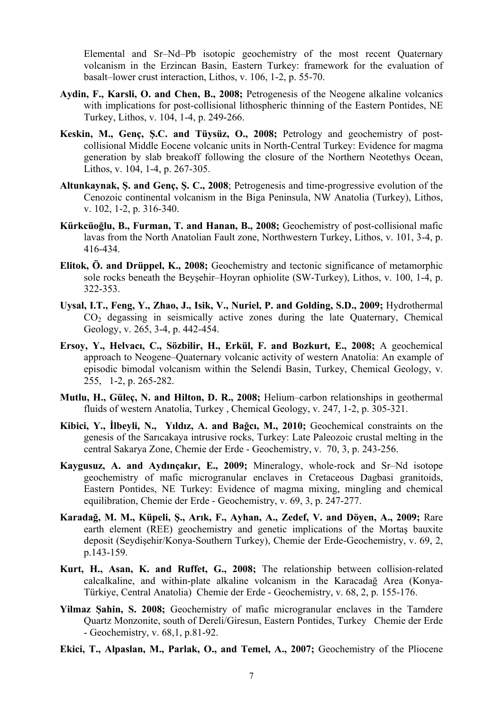Elemental and Sr–Nd–Pb isotopic geochemistry of the most recent Quaternary volcanism in the Erzincan Basin, Eastern Turkey: framework for the evaluation of basalt–lower crust interaction, [Lithos,](http://www.sciencedirect.com/science/journal/00244937) [v. 106, 1-2,](http://www.sciencedirect.com/science?_ob=PublicationURL&_tockey=%23TOC%235816%232008%23998939998%23700388%23FLA%23&_cdi=5816&_pubType=J&view=c&_auth=y&_acct=C000050221&_version=1&_urlVersion=0&_userid=10&md5=d5d16b3e154c877f5a11796e9c3bdeff) p. 55-70.

- **Aydin, F., Karsli, O. and Chen, B., 2008;** Petrogenesis of the Neogene alkaline volcanics with implications for post-collisional lithospheric thinning of the Eastern Pontides, NE Turkey, [Lithos,](http://www.sciencedirect.com/science/journal/00244937) [v. 104, 1-4,](http://www.sciencedirect.com/science?_ob=PublicationURL&_tockey=%23TOC%235816%232008%23998959998%23696228%23FLA%23&_cdi=5816&_pubType=J&view=c&_auth=y&_acct=C000050221&_version=1&_urlVersion=0&_userid=10&md5=4251b747308c1fc7a65619a5b33eb92a) p. 249-266.
- **Keskin, M., Genç, Ş.C. and Tüysüz, O., 2008;** [Petrology and geochemistry of post](http://www.sciencedirect.com/science?_ob=ArticleURL&_udi=B6V6J-4RMFP5S-2&_user=10&_coverDate=08%2F31%2F2008&_rdoc=18&_fmt=high&_orig=browse&_origin=browse&_zone=rslt_list_item&_srch=doc-info(%23toc%235816%232008%23998959998%23696228%23FLA%23display%23Volume)&_cdi=5816&_sort=d&_docanchor=&_ct=25&_acct=C000050221&_version=1&_urlVersion=0&_userid=10&md5=4780b752f2f00a439198846d78d13483&searchtype=a)[collisional Middle Eocene volcanic units in North-Central Turkey: Evidence for magma](http://www.sciencedirect.com/science?_ob=ArticleURL&_udi=B6V6J-4RMFP5S-2&_user=10&_coverDate=08%2F31%2F2008&_rdoc=18&_fmt=high&_orig=browse&_origin=browse&_zone=rslt_list_item&_srch=doc-info(%23toc%235816%232008%23998959998%23696228%23FLA%23display%23Volume)&_cdi=5816&_sort=d&_docanchor=&_ct=25&_acct=C000050221&_version=1&_urlVersion=0&_userid=10&md5=4780b752f2f00a439198846d78d13483&searchtype=a)  [generation by slab breakoff following the closure of the Northern Neotethys Ocean](http://www.sciencedirect.com/science?_ob=ArticleURL&_udi=B6V6J-4RMFP5S-2&_user=10&_coverDate=08%2F31%2F2008&_rdoc=18&_fmt=high&_orig=browse&_origin=browse&_zone=rslt_list_item&_srch=doc-info(%23toc%235816%232008%23998959998%23696228%23FLA%23display%23Volume)&_cdi=5816&_sort=d&_docanchor=&_ct=25&_acct=C000050221&_version=1&_urlVersion=0&_userid=10&md5=4780b752f2f00a439198846d78d13483&searchtype=a), [Lithos,](http://www.sciencedirect.com/science/journal/00244937) [v. 104, 1-4,](http://www.sciencedirect.com/science?_ob=PublicationURL&_tockey=%23TOC%235816%232008%23998959998%23696228%23FLA%23&_cdi=5816&_pubType=J&view=c&_auth=y&_acct=C000050221&_version=1&_urlVersion=0&_userid=10&md5=4251b747308c1fc7a65619a5b33eb92a) p. 267-305.
- **Altunkaynak, Ş. and Genç, Ş. C., 2008**; [Petrogenesis and time-progressive evolution of the](http://www.sciencedirect.com/science?_ob=ArticleURL&_udi=B6V6J-4P0KP4P-1&_user=10&_coverDate=04%2F30%2F2008&_rdoc=19&_fmt=high&_orig=browse&_origin=browse&_zone=rslt_list_item&_srch=doc-info(%23toc%235816%232008%23998979998%23684422%23FLA%23display%23Volume)&_cdi=5816&_sort=d&_docanchor=&_ct=23&_acct=C000050221&_version=1&_urlVersion=0&_userid=10&md5=b3f48783317d4d2b96972fdee86f095d&searchtype=a)  [Cenozoic continental volcanism in the Biga Peninsula, NW Anatolia \(Turkey\),](http://www.sciencedirect.com/science?_ob=ArticleURL&_udi=B6V6J-4P0KP4P-1&_user=10&_coverDate=04%2F30%2F2008&_rdoc=19&_fmt=high&_orig=browse&_origin=browse&_zone=rslt_list_item&_srch=doc-info(%23toc%235816%232008%23998979998%23684422%23FLA%23display%23Volume)&_cdi=5816&_sort=d&_docanchor=&_ct=23&_acct=C000050221&_version=1&_urlVersion=0&_userid=10&md5=b3f48783317d4d2b96972fdee86f095d&searchtype=a) [Lithos](http://www.sciencedirect.com/science/journal/00244937), [v. 102, 1-2](http://www.sciencedirect.com/science?_ob=PublicationURL&_tockey=%23TOC%235816%232008%23998979998%23684422%23FLA%23&_cdi=5816&_pubType=J&view=c&_auth=y&_acct=C000050221&_version=1&_urlVersion=0&_userid=10&md5=aec69ad2728ccbcc1e39fdbc55ad9f9f), p. 316-340.
- **Kürkcüoğlu, B., Furman, T. and Hanan, B., 2008;** [Geochemistry of post-collisional mafic](http://www.sciencedirect.com/science?_ob=ArticleURL&_udi=B6V6J-4PJ6GS0-5&_user=10&_coverDate=03%2F31%2F2008&_rdoc=14&_fmt=high&_orig=browse&_origin=browse&_zone=rslt_list_item&_srch=doc-info(%23toc%235816%232008%23998989996%23682390%23FLA%23display%23Volume)&_cdi=5816&_sort=d&_docanchor=&_ct=17&_acct=C000050221&_version=1&_urlVersion=0&_userid=10&md5=44fcd56dafb9b038f20d2d2984add52b&searchtype=a)  [lavas from the North Anatolian Fault zone, Northwestern Turkey,](http://www.sciencedirect.com/science?_ob=ArticleURL&_udi=B6V6J-4PJ6GS0-5&_user=10&_coverDate=03%2F31%2F2008&_rdoc=14&_fmt=high&_orig=browse&_origin=browse&_zone=rslt_list_item&_srch=doc-info(%23toc%235816%232008%23998989996%23682390%23FLA%23display%23Volume)&_cdi=5816&_sort=d&_docanchor=&_ct=17&_acct=C000050221&_version=1&_urlVersion=0&_userid=10&md5=44fcd56dafb9b038f20d2d2984add52b&searchtype=a) [Lithos](http://www.sciencedirect.com/science/journal/00244937), [v. 101, 3-4](http://www.sciencedirect.com/science?_ob=PublicationURL&_tockey=%23TOC%235816%232008%23998989996%23682390%23FLA%23&_cdi=5816&_pubType=J&view=c&_auth=y&_acct=C000050221&_version=1&_urlVersion=0&_userid=10&md5=f9964bb72cadfce73de69cccc70c1463), p. 416-434.
- **Elitok, Ö. and Drüppel, K., 2008;** Geochemistry and tectonic significance of metamorphic sole rocks beneath the Beyşehir–Hoyran ophiolite (SW-Turkey), [Lithos](http://www.sciencedirect.com/science/journal/00244937), [v. 100, 1-4,](http://www.sciencedirect.com/science?_ob=PublicationURL&_tockey=%23TOC%235816%232008%23998999998%23678011%23FLA%23&_cdi=5816&_pubType=J&view=c&_auth=y&_acct=C000050221&_version=1&_urlVersion=0&_userid=10&md5=8a3f37039bf6d713e3544a47f4f66d2c) p. 322-353.
- **Uysal, I.T., Feng, Y., Zhao, J., Isik, V., Nuriel, P. and Golding, S.D., 2009;** Hydrothermal  $CO<sub>2</sub>$  degassing in seismically active zones during the late Quaternary, Chemical [Geology,](http://www.sciencedirect.com/science/journal/00092541) [v. 265, 3-4,](http://www.sciencedirect.com/science?_ob=PublicationURL&_tockey=%23TOC%235799%232009%23997349996%231320078%23FLA%23&_cdi=5799&_pubType=J&view=c&_auth=y&_acct=C000050221&_version=1&_urlVersion=0&_userid=10&md5=960366e35b7f16504e3dedf642047a8d) p. 442-454.
- **Ersoy, Y., Helvacı, C., Sözbilir, H., Erkül, F. and Bozkurt, E., 2008;** A geochemical approach to Neogene–Quaternary volcanic activity of western Anatolia: An example of episodic bimodal volcanism within the Selendi Basin, Turkey, [Chemical Geology,](http://www.sciencedirect.com/science/journal/00092541) [v.](http://www.sciencedirect.com/science?_ob=PublicationURL&_tockey=%23TOC%235799%232008%23997449998%23697176%23FLA%23&_cdi=5799&_pubType=J&view=c&_auth=y&_acct=C000050221&_version=1&_urlVersion=0&_userid=10&md5=b156eead6251f7ba0e86be10de5540fa)  [255, 1-](http://www.sciencedirect.com/science?_ob=PublicationURL&_tockey=%23TOC%235799%232008%23997449998%23697176%23FLA%23&_cdi=5799&_pubType=J&view=c&_auth=y&_acct=C000050221&_version=1&_urlVersion=0&_userid=10&md5=b156eead6251f7ba0e86be10de5540fa)2, p. 265-282.
- **Mutlu, H., Güleç, N. and Hilton, D. R., 2008;** Helium–carbon relationships in geothermal fluids of western Anatolia, Turkey , [Chemical Geology](http://www.sciencedirect.com/science/journal/00092541), [v. 247, 1-2](http://www.sciencedirect.com/science?_ob=PublicationURL&_tockey=%23TOC%235799%232008%23997529998%23677721%23FLA%23&_cdi=5799&_pubType=J&view=c&_auth=y&_acct=C000050221&_version=1&_urlVersion=0&_userid=10&md5=696636a8cee343b1745a639b56ab3e33), p. 305-321.
- **Kibici, Y., İlbeyli, N., Yıldız, A. and Bağcı, M., 2010;** Geochemical constraints on the genesis of the Sarıcakaya intrusive rocks, Turkey: Late Paleozoic crustal melting in the central Sakarya Zone, [Chemie der Erde - Geochemistry,](http://www.sciencedirect.com/science/journal/00092819) [v. 70, 3,](http://www.sciencedirect.com/science?_ob=PublicationURL&_tockey=%23TOC%2318098%232010%23999299996%232245788%23FLA%23&_cdi=18098&_pubType=J&view=c&_auth=y&_acct=C000050221&_version=1&_urlVersion=0&_userid=10&md5=84c2ef13060b02be763e66e6e9121729) p. 243-256.
- **Kaygusuz, A. and Aydınçakır, E., 2009;** Mineralogy, whole-rock and Sr–Nd isotope geochemistry of mafic microgranular enclaves in Cretaceous Dagbasi granitoids, Eastern Pontides, NE Turkey: Evidence of magma mixing, mingling and chemical equilibration, [Chemie der Erde - Geochemistry](http://www.sciencedirect.com/science/journal/00092819), [v. 69, 3](http://www.sciencedirect.com/science?_ob=PublicationURL&_tockey=%23TOC%2318098%232009%23999309996%231399088%23FLA%23&_cdi=18098&_pubType=J&view=c&_auth=y&_acct=C000050221&_version=1&_urlVersion=0&_userid=10&md5=489a31342c3f3d6790e9449cc95d4e1b), p. 247-277.
- **Karadağ, M. M., Küpeli, Ş., Arık, F., Ayhan, A., Zedef, V. and Döyen, A., 2009;** [Rare](http://www.sciencedirect.com/science?_ob=ArticleURL&_udi=B7CW6-4SNPR5C-2&_user=10&_coverDate=06%2F30%2F2009&_rdoc=4&_fmt=high&_orig=browse&_origin=browse&_zone=rslt_list_item&_srch=doc-info(%23toc%2318098%232009%23999309997%231095052%23FLA%23display%23Volume)&_cdi=18098&_sort=d&_docanchor=&_ct=7&_acct=C000050221&_version=1&_urlVersion=0&_userid=10&md5=ecdd609ea1c9904d71b7bf79c75b8f7b&searchtype=a)  [earth element \(REE\) geochemistry and genetic implications of the Morta](http://www.sciencedirect.com/science?_ob=ArticleURL&_udi=B7CW6-4SNPR5C-2&_user=10&_coverDate=06%2F30%2F2009&_rdoc=4&_fmt=high&_orig=browse&_origin=browse&_zone=rslt_list_item&_srch=doc-info(%23toc%2318098%232009%23999309997%231095052%23FLA%23display%23Volume)&_cdi=18098&_sort=d&_docanchor=&_ct=7&_acct=C000050221&_version=1&_urlVersion=0&_userid=10&md5=ecdd609ea1c9904d71b7bf79c75b8f7b&searchtype=a)ş bauxite deposit (Seydiş[ehir/Konya-Southern Turkey\)](http://www.sciencedirect.com/science?_ob=ArticleURL&_udi=B7CW6-4SNPR5C-2&_user=10&_coverDate=06%2F30%2F2009&_rdoc=4&_fmt=high&_orig=browse&_origin=browse&_zone=rslt_list_item&_srch=doc-info(%23toc%2318098%232009%23999309997%231095052%23FLA%23display%23Volume)&_cdi=18098&_sort=d&_docanchor=&_ct=7&_acct=C000050221&_version=1&_urlVersion=0&_userid=10&md5=ecdd609ea1c9904d71b7bf79c75b8f7b&searchtype=a), [Chemie der Erde-Geochemistry,](http://www.sciencedirect.com/science/journal/00092819) [v. 69, 2,](http://www.sciencedirect.com/science?_ob=PublicationURL&_tockey=%23TOC%2318098%232009%23999309997%231095052%23FLA%23&_cdi=18098&_pubType=J&view=c&_auth=y&_acct=C000050221&_version=1&_urlVersion=0&_userid=10&md5=a38192753ac4997f356fea82636bb08e) p.143-159.
- **Kurt, H., Asan, K. and Ruffet, G., 2008;** The relationship between collision-related calcalkaline, and within-plate alkaline volcanism in the Karacadağ Area (Konya-Türkiye, Central Anatolia) [Chemie der Erde - Geochemistry,](http://www.sciencedirect.com/science/journal/00092819) [v. 68, 2](http://www.sciencedirect.com/science?_ob=PublicationURL&_tockey=%23TOC%2318098%232008%23999319997%23691858%23FLA%23&_cdi=18098&_pubType=J&view=c&_auth=y&_acct=C000050221&_version=1&_urlVersion=0&_userid=10&md5=f85a23841b0044e6f8325d4c3d4bd1ea), p. 155-176.
- **Yilmaz Şahin, S. 2008;** [Geochemistry of mafic microgranular enclaves in the Tamdere](http://www.sciencedirect.com/science?_ob=ArticleURL&_udi=B7CW6-4H4T61K-1&_user=10&_coverDate=04%2F30%2F2008&_rdoc=7&_fmt=high&_orig=browse&_origin=browse&_zone=rslt_list_item&_srch=doc-info(%23toc%2318098%232008%23999319998%23684461%23FLA%23display%23Volume)&_cdi=18098&_sort=d&_docanchor=&_ct=10&_acct=C000050221&_version=1&_urlVersion=0&_userid=10&md5=7b47e710fdd3586ca47b345fc742a173&searchtype=a)  [Quartz Monzonite, south of Dereli/Giresun, Eastern Pontides, Turkey](http://www.sciencedirect.com/science?_ob=ArticleURL&_udi=B7CW6-4H4T61K-1&_user=10&_coverDate=04%2F30%2F2008&_rdoc=7&_fmt=high&_orig=browse&_origin=browse&_zone=rslt_list_item&_srch=doc-info(%23toc%2318098%232008%23999319998%23684461%23FLA%23display%23Volume)&_cdi=18098&_sort=d&_docanchor=&_ct=10&_acct=C000050221&_version=1&_urlVersion=0&_userid=10&md5=7b47e710fdd3586ca47b345fc742a173&searchtype=a) [Chemie der Erde](http://www.sciencedirect.com/science/journal/00092819)  [- Geochemistry,](http://www.sciencedirect.com/science/journal/00092819) [v. 68,1,](http://www.sciencedirect.com/science?_ob=PublicationURL&_tockey=%23TOC%2318098%232008%23999319998%23684461%23FLA%23&_cdi=18098&_pubType=J&view=c&_auth=y&_acct=C000050221&_version=1&_urlVersion=0&_userid=10&md5=8e3405049a68161ac0ab226afd2f58fd) p.81-92.
- **Ekici, T., Alpaslan, M., Parlak, O., and Temel, A., 2007;** [Geochemistry of the Pliocene](http://www.sciencedirect.com/science?_ob=ArticleURL&_udi=B7CW6-4J91RBX-1&_user=10&_coverDate=10%2F25%2F2007&_rdoc=3&_fmt=high&_orig=browse&_origin=browse&_zone=rslt_list_item&_srch=doc-info(%23toc%2318098%232007%23999329996%23670271%23FLA%23display%23Volume)&_cdi=18098&_sort=d&_docanchor=&_ct=7&_acct=C000050221&_version=1&_urlVersion=0&_userid=10&md5=70cef5c44e9a9948052526af9f34b029&searchtype=a)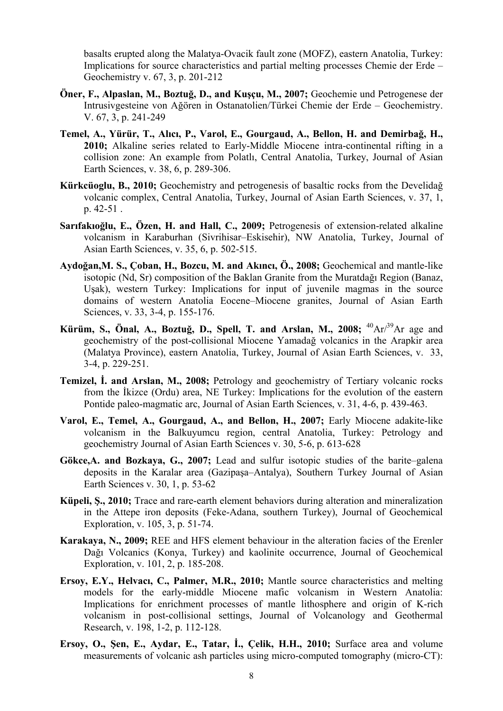[basalts erupted along the Malatya-Ovacik fault zone \(MOFZ\), eastern Anatolia, Turkey:](http://www.sciencedirect.com/science?_ob=ArticleURL&_udi=B7CW6-4J91RBX-1&_user=10&_coverDate=10%2F25%2F2007&_rdoc=3&_fmt=high&_orig=browse&_origin=browse&_zone=rslt_list_item&_srch=doc-info(%23toc%2318098%232007%23999329996%23670271%23FLA%23display%23Volume)&_cdi=18098&_sort=d&_docanchor=&_ct=7&_acct=C000050221&_version=1&_urlVersion=0&_userid=10&md5=70cef5c44e9a9948052526af9f34b029&searchtype=a)  [Implications for source characteristics and partial melting processes](http://www.sciencedirect.com/science?_ob=ArticleURL&_udi=B7CW6-4J91RBX-1&_user=10&_coverDate=10%2F25%2F2007&_rdoc=3&_fmt=high&_orig=browse&_origin=browse&_zone=rslt_list_item&_srch=doc-info(%23toc%2318098%232007%23999329996%23670271%23FLA%23display%23Volume)&_cdi=18098&_sort=d&_docanchor=&_ct=7&_acct=C000050221&_version=1&_urlVersion=0&_userid=10&md5=70cef5c44e9a9948052526af9f34b029&searchtype=a) Chemie der Erde – Geochemistry v. 67, 3, p. 201-212

- **Öner, F., Alpaslan, M., Boztuğ, D., and Kuşçu, M., 2007;** [Geochemie und Petrogenese der](http://www.sciencedirect.com/science?_ob=ArticleURL&_udi=B7CW6-4H2FY6K-1&_user=10&_coverDate=10%2F25%2F2007&_rdoc=6&_fmt=high&_orig=browse&_origin=browse&_zone=rslt_list_item&_srch=doc-info(%23toc%2318098%232007%23999329996%23670271%23FLA%23display%23Volume)&_cdi=18098&_sort=d&_docanchor=&_ct=7&_acct=C000050221&_version=1&_urlVersion=0&_userid=10&md5=3e1328d41208ab223702a05ad9a50f68&searchtype=a)  Intrusivgesteine von Ağ[ören in Ostanatolien/Türkei](http://www.sciencedirect.com/science?_ob=ArticleURL&_udi=B7CW6-4H2FY6K-1&_user=10&_coverDate=10%2F25%2F2007&_rdoc=6&_fmt=high&_orig=browse&_origin=browse&_zone=rslt_list_item&_srch=doc-info(%23toc%2318098%232007%23999329996%23670271%23FLA%23display%23Volume)&_cdi=18098&_sort=d&_docanchor=&_ct=7&_acct=C000050221&_version=1&_urlVersion=0&_userid=10&md5=3e1328d41208ab223702a05ad9a50f68&searchtype=a) Chemie der Erde – Geochemistry. V. 67, 3, p. 241-249
- **Temel, A., Yürür, T., Alıcı, P., Varol, E., Gourgaud, A., Bellon, H. and Demirbağ, H., 2010;** [Alkaline series related to Early-Middle Miocene intra-continental rifting in a](http://www.sciencedirect.com/science?_ob=ArticleURL&_udi=B6VHG-4YC1KB2-1&_user=10&_coverDate=06%2F01%2F2010&_rdoc=7&_fmt=high&_orig=browse&_origin=browse&_zone=rslt_list_item&_srch=doc-info(%23toc%236066%232010%23999619993%231890834%23FLA%23display%23Volume)&_cdi=6066&_sort=d&_docanchor=&_ct=9&_acct=C000050221&_version=1&_urlVersion=0&_userid=10&md5=eda37c7fa81f0a374a3405a473aeba13&searchtype=a)  [collision zone: An example from Polatlı, Central Anatolia, Turkey,](http://www.sciencedirect.com/science?_ob=ArticleURL&_udi=B6VHG-4YC1KB2-1&_user=10&_coverDate=06%2F01%2F2010&_rdoc=7&_fmt=high&_orig=browse&_origin=browse&_zone=rslt_list_item&_srch=doc-info(%23toc%236066%232010%23999619993%231890834%23FLA%23display%23Volume)&_cdi=6066&_sort=d&_docanchor=&_ct=9&_acct=C000050221&_version=1&_urlVersion=0&_userid=10&md5=eda37c7fa81f0a374a3405a473aeba13&searchtype=a) [Journal of Asian](http://www.sciencedirect.com/science/journal/13679120)  [Earth Sciences](http://www.sciencedirect.com/science/journal/13679120), [v. 38, 6](http://www.sciencedirect.com/science?_ob=PublicationURL&_tockey=%23TOC%236066%232010%23999619993%231890834%23FLA%23&_cdi=6066&_pubType=J&view=c&_auth=y&_acct=C000050221&_version=1&_urlVersion=0&_userid=10&md5=069638d5a6e759fe1b8f9eeeab232024), p. 289-306.
- **Kürkcüoglu, B., 2010;** Geochemistry and petrogenesis of basaltic rocks from the Develidağ volcanic complex, Central Anatolia, Turkey, [Journal of Asian Earth Sciences](http://www.sciencedirect.com/science/journal/13679120), [v. 37, 1](http://www.sciencedirect.com/science?_ob=PublicationURL&_tockey=%23TOC%236066%232010%23999629998%231515135%23FLA%23&_cdi=6066&_pubType=J&view=c&_auth=y&_acct=C000050221&_version=1&_urlVersion=0&_userid=10&md5=7b09d4e64a0c83b4df0c0e0e6ab82ff3), p. 42-51 .
- **Sarıfakıoğlu, E., Özen, H. and Hall, C., 2009;** [Petrogenesis of extension-related alkaline](http://www.sciencedirect.com/science?_ob=ArticleURL&_udi=B6VHG-4VXTSTM-1&_user=10&_coverDate=08%2F26%2F2009&_rdoc=3&_fmt=high&_orig=browse&_origin=browse&_zone=rslt_list_item&_srch=doc-info(%23toc%236066%232009%23999649993%231164110%23FLA%23display%23Volume)&_cdi=6066&_sort=d&_docanchor=&_ct=7&_acct=C000050221&_version=1&_urlVersion=0&_userid=10&md5=0d9c6c2905aa3c4896a7a9aa0afdcaf8&searchtype=a)  [volcanism in Karaburhan \(Sivrihisar–Eskisehir\), NW Anatolia, Turkey,](http://www.sciencedirect.com/science?_ob=ArticleURL&_udi=B6VHG-4VXTSTM-1&_user=10&_coverDate=08%2F26%2F2009&_rdoc=3&_fmt=high&_orig=browse&_origin=browse&_zone=rslt_list_item&_srch=doc-info(%23toc%236066%232009%23999649993%231164110%23FLA%23display%23Volume)&_cdi=6066&_sort=d&_docanchor=&_ct=7&_acct=C000050221&_version=1&_urlVersion=0&_userid=10&md5=0d9c6c2905aa3c4896a7a9aa0afdcaf8&searchtype=a) [Journal of](http://www.sciencedirect.com/science/journal/13679120)  [Asian Earth Sciences](http://www.sciencedirect.com/science/journal/13679120), [v. 35, 6](http://www.sciencedirect.com/science?_ob=PublicationURL&_tockey=%23TOC%236066%232009%23999649993%231164110%23FLA%23&_cdi=6066&_pubType=J&view=c&_auth=y&_acct=C000050221&_version=1&_urlVersion=0&_userid=10&md5=aa8ebbec73025fd7e20167df284dce52), p. 502-515.
- **Aydoğan,M. S., Çoban, H., Bozcu, M. and Akıncı, Ö., 2008;** [Geochemical and mantle-like](http://www.sciencedirect.com/science?_ob=ArticleURL&_udi=B6VHG-4N3P0BR-1&_user=10&_coverDate=07%2F15%2F2008&_rdoc=3&_fmt=high&_orig=browse&_origin=browse&_zone=rslt_list_item&_srch=doc-info(%23toc%236066%232008%23999669996%23690751%23FLA%23display%23Volume)&_cdi=6066&_sort=d&_docanchor=&_ct=10&_acct=C000050221&_version=1&_urlVersion=0&_userid=10&md5=b0314644ed95e077efc4c74794efcc9c&searchtype=a)  [isotopic \(Nd, Sr\) composition of the Baklan Granite from the Muratda](http://www.sciencedirect.com/science?_ob=ArticleURL&_udi=B6VHG-4N3P0BR-1&_user=10&_coverDate=07%2F15%2F2008&_rdoc=3&_fmt=high&_orig=browse&_origin=browse&_zone=rslt_list_item&_srch=doc-info(%23toc%236066%232008%23999669996%23690751%23FLA%23display%23Volume)&_cdi=6066&_sort=d&_docanchor=&_ct=10&_acct=C000050221&_version=1&_urlVersion=0&_userid=10&md5=b0314644ed95e077efc4c74794efcc9c&searchtype=a)ğı Region (Banaz, Uş[ak\), western Turkey: Implications for input of juvenile magmas in the source](http://www.sciencedirect.com/science?_ob=ArticleURL&_udi=B6VHG-4N3P0BR-1&_user=10&_coverDate=07%2F15%2F2008&_rdoc=3&_fmt=high&_orig=browse&_origin=browse&_zone=rslt_list_item&_srch=doc-info(%23toc%236066%232008%23999669996%23690751%23FLA%23display%23Volume)&_cdi=6066&_sort=d&_docanchor=&_ct=10&_acct=C000050221&_version=1&_urlVersion=0&_userid=10&md5=b0314644ed95e077efc4c74794efcc9c&searchtype=a)  [domains of western Anatolia Eocene–Miocene granites](http://www.sciencedirect.com/science?_ob=ArticleURL&_udi=B6VHG-4N3P0BR-1&_user=10&_coverDate=07%2F15%2F2008&_rdoc=3&_fmt=high&_orig=browse&_origin=browse&_zone=rslt_list_item&_srch=doc-info(%23toc%236066%232008%23999669996%23690751%23FLA%23display%23Volume)&_cdi=6066&_sort=d&_docanchor=&_ct=10&_acct=C000050221&_version=1&_urlVersion=0&_userid=10&md5=b0314644ed95e077efc4c74794efcc9c&searchtype=a), [Journal of Asian Earth](http://www.sciencedirect.com/science/journal/13679120)  [Sciences](http://www.sciencedirect.com/science/journal/13679120), [v. 33, 3-4](http://www.sciencedirect.com/science?_ob=PublicationURL&_tockey=%23TOC%236066%232008%23999669996%23690751%23FLA%23&_cdi=6066&_pubType=J&view=c&_auth=y&_acct=C000050221&_version=1&_urlVersion=0&_userid=10&md5=26442bec1ab5d18ce4aa4f09c7bd3ccf), p. 155-176.
- **Kürüm, S., Önal, A., Boztuğ, D., Spell, T. and Arslan, M., 2008;**  ${}^{40}Ar/{}^{39}Ar$  age and [geochemistry of the post-collisional Miocene Yamada](http://www.sciencedirect.com/science?_ob=ArticleURL&_udi=B6VHG-4RGFD6S-1&_user=10&_coverDate=07%2F15%2F2008&_rdoc=7&_fmt=high&_orig=browse&_origin=browse&_zone=rslt_list_item&_srch=doc-info(%23toc%236066%232008%23999669996%23690751%23FLA%23display%23Volume)&_cdi=6066&_sort=d&_docanchor=&_ct=10&_acct=C000050221&_version=1&_urlVersion=0&_userid=10&md5=5d37e096b3e696372c7135e217f83866&searchtype=a)ğ volcanics in the Arapkir area [\(Malatya Province\), eastern Anatolia, Turkey](http://www.sciencedirect.com/science?_ob=ArticleURL&_udi=B6VHG-4RGFD6S-1&_user=10&_coverDate=07%2F15%2F2008&_rdoc=7&_fmt=high&_orig=browse&_origin=browse&_zone=rslt_list_item&_srch=doc-info(%23toc%236066%232008%23999669996%23690751%23FLA%23display%23Volume)&_cdi=6066&_sort=d&_docanchor=&_ct=10&_acct=C000050221&_version=1&_urlVersion=0&_userid=10&md5=5d37e096b3e696372c7135e217f83866&searchtype=a), [Journal of Asian Earth Sciences](http://www.sciencedirect.com/science/journal/13679120), [v. 33,](http://www.sciencedirect.com/science?_ob=PublicationURL&_tockey=%23TOC%236066%232008%23999669996%23690751%23FLA%23&_cdi=6066&_pubType=J&view=c&_auth=y&_acct=C000050221&_version=1&_urlVersion=0&_userid=10&md5=26442bec1ab5d18ce4aa4f09c7bd3ccf)  [3-4](http://www.sciencedirect.com/science?_ob=PublicationURL&_tockey=%23TOC%236066%232008%23999669996%23690751%23FLA%23&_cdi=6066&_pubType=J&view=c&_auth=y&_acct=C000050221&_version=1&_urlVersion=0&_userid=10&md5=26442bec1ab5d18ce4aa4f09c7bd3ccf), p. 229-251.
- **Temizel, İ. and Arslan, M., 2008;** [Petrology and geochemistry of Tertiary volcanic rocks](http://www.sciencedirect.com/science?_ob=ArticleURL&_udi=B6VHG-4PCPFR4-2&_user=10&_coverDate=01%2F10%2F2008&_rdoc=7&_fmt=high&_orig=browse&_origin=browse&_zone=rslt_list_item&_srch=doc-info(%23toc%236066%232008%23999689995%23678642%23FLA%23display%23Volume)&_cdi=6066&_sort=d&_docanchor=&_ct=15&_acct=C000050221&_version=1&_urlVersion=0&_userid=10&md5=91c6981e8fdc76bf7cc83ea26240c337&searchtype=a)  from the İ[kizce \(Ordu\) area, NE Turkey: Implications for the evolution of the eastern](http://www.sciencedirect.com/science?_ob=ArticleURL&_udi=B6VHG-4PCPFR4-2&_user=10&_coverDate=01%2F10%2F2008&_rdoc=7&_fmt=high&_orig=browse&_origin=browse&_zone=rslt_list_item&_srch=doc-info(%23toc%236066%232008%23999689995%23678642%23FLA%23display%23Volume)&_cdi=6066&_sort=d&_docanchor=&_ct=15&_acct=C000050221&_version=1&_urlVersion=0&_userid=10&md5=91c6981e8fdc76bf7cc83ea26240c337&searchtype=a)  [Pontide paleo-magmatic arc,](http://www.sciencedirect.com/science?_ob=ArticleURL&_udi=B6VHG-4PCPFR4-2&_user=10&_coverDate=01%2F10%2F2008&_rdoc=7&_fmt=high&_orig=browse&_origin=browse&_zone=rslt_list_item&_srch=doc-info(%23toc%236066%232008%23999689995%23678642%23FLA%23display%23Volume)&_cdi=6066&_sort=d&_docanchor=&_ct=15&_acct=C000050221&_version=1&_urlVersion=0&_userid=10&md5=91c6981e8fdc76bf7cc83ea26240c337&searchtype=a) [Journal of Asian Earth Sciences](http://www.sciencedirect.com/science/journal/13679120), [v. 31, 4-6](http://www.sciencedirect.com/science?_ob=PublicationURL&_tockey=%23TOC%236066%232008%23999689995%23678642%23FLA%23&_cdi=6066&_pubType=J&view=c&_auth=y&_acct=C000050221&_version=1&_urlVersion=0&_userid=10&md5=e013b1c10be9216dc72e45e5ab39a4d7), p. 439-463.
- **Varol, E., Temel, A., Gourgaud, A., and Bellon, H., 2007;** [Early Miocene adakite-like](http://www.sciencedirect.com/science?_ob=ArticleURL&_udi=B6VHG-4NCJCYV-1&_user=10&_coverDate=07%2F01%2F2007&_rdoc=4&_fmt=high&_orig=browse&_origin=browse&_zone=rslt_list_item&_srch=doc-info(%23toc%236066%232007%23999699994%23661883%23FLA%23display%23Volume)&_cdi=6066&_sort=d&_docanchor=&_ct=9&_acct=C000050221&_version=1&_urlVersion=0&_userid=10&md5=968f75877b5bca7658dbef68182c0116&searchtype=a)  [volcanism in the Balkuyumcu region, central Anatolia, Turkey: Petrology and](http://www.sciencedirect.com/science?_ob=ArticleURL&_udi=B6VHG-4NCJCYV-1&_user=10&_coverDate=07%2F01%2F2007&_rdoc=4&_fmt=high&_orig=browse&_origin=browse&_zone=rslt_list_item&_srch=doc-info(%23toc%236066%232007%23999699994%23661883%23FLA%23display%23Volume)&_cdi=6066&_sort=d&_docanchor=&_ct=9&_acct=C000050221&_version=1&_urlVersion=0&_userid=10&md5=968f75877b5bca7658dbef68182c0116&searchtype=a)  [geochemistry](http://www.sciencedirect.com/science?_ob=ArticleURL&_udi=B6VHG-4NCJCYV-1&_user=10&_coverDate=07%2F01%2F2007&_rdoc=4&_fmt=high&_orig=browse&_origin=browse&_zone=rslt_list_item&_srch=doc-info(%23toc%236066%232007%23999699994%23661883%23FLA%23display%23Volume)&_cdi=6066&_sort=d&_docanchor=&_ct=9&_acct=C000050221&_version=1&_urlVersion=0&_userid=10&md5=968f75877b5bca7658dbef68182c0116&searchtype=a) Journal of Asian Earth Sciences v. 30, 5-6, p. 613-628
- **Gökce,A. and Bozkaya, G., 2007;** [Lead and sulfur isotopic studies of the barite–galena](http://www.sciencedirect.com/science?_ob=ArticleURL&_udi=B6VHG-4M63RXV-1&_user=10&_coverDate=04%2F01%2F2007&_rdoc=5&_fmt=high&_orig=browse&_origin=browse&_zone=rslt_list_item&_srch=doc-info(%23toc%236066%232007%23999699998%23647891%23FLA%23display%23Volume)&_cdi=6066&_sort=d&_docanchor=&_ct=19&_acct=C000050221&_version=1&_urlVersion=0&_userid=10&md5=af7b52b6376a17dbf89769fe4c7d61d8&searchtype=a)  [deposits in the Karalar area \(Gazipa](http://www.sciencedirect.com/science?_ob=ArticleURL&_udi=B6VHG-4M63RXV-1&_user=10&_coverDate=04%2F01%2F2007&_rdoc=5&_fmt=high&_orig=browse&_origin=browse&_zone=rslt_list_item&_srch=doc-info(%23toc%236066%232007%23999699998%23647891%23FLA%23display%23Volume)&_cdi=6066&_sort=d&_docanchor=&_ct=19&_acct=C000050221&_version=1&_urlVersion=0&_userid=10&md5=af7b52b6376a17dbf89769fe4c7d61d8&searchtype=a)şa–Antalya), Southern Turkey Journal of Asian Earth Sciences v. 30, 1, p. 53-62
- **Küpeli, Ş., 2010;** [Trace and rare-earth element behaviors during alteration and mineralization](http://www.sciencedirect.com/science?_ob=ArticleURL&_udi=B6VCP-4YWXSBX-1&_user=10&_coverDate=06%2F30%2F2010&_rdoc=2&_fmt=high&_orig=browse&_origin=browse&_zone=rslt_list_item&_srch=doc-info(%23toc%235960%232010%23998949996%232194774%23FLA%23display%23Volume)&_cdi=5960&_sort=d&_docanchor=&_ct=9&_acct=C000050221&_version=1&_urlVersion=0&_userid=10&md5=610478d17d7ca17bd571bed89459421b&searchtype=a)  [in the Attepe iron deposits \(Feke-Adana, southern Turkey\),](http://www.sciencedirect.com/science?_ob=ArticleURL&_udi=B6VCP-4YWXSBX-1&_user=10&_coverDate=06%2F30%2F2010&_rdoc=2&_fmt=high&_orig=browse&_origin=browse&_zone=rslt_list_item&_srch=doc-info(%23toc%235960%232010%23998949996%232194774%23FLA%23display%23Volume)&_cdi=5960&_sort=d&_docanchor=&_ct=9&_acct=C000050221&_version=1&_urlVersion=0&_userid=10&md5=610478d17d7ca17bd571bed89459421b&searchtype=a) [Journal of Geochemical](http://www.sciencedirect.com/science/journal/03756742)  [Exploration,](http://www.sciencedirect.com/science/journal/03756742) [v. 105, 3,](http://www.sciencedirect.com/science?_ob=PublicationURL&_tockey=%23TOC%235960%232010%23998949996%232194774%23FLA%23&_cdi=5960&_pubType=J&view=c&_auth=y&_acct=C000050221&_version=1&_urlVersion=0&_userid=10&md5=c6703ca5ea7c3579804f0bdc051e73a2) p. 51-74.
- **Karakaya, N., 2009;** [REE and HFS element behaviour in the alteration facies of the Erenler](http://www.sciencedirect.com/science?_ob=ArticleURL&_udi=B6VCP-4T2S8NB-2&_user=10&_coverDate=05%2F31%2F2009&_rdoc=7&_fmt=high&_orig=browse&_origin=browse&_zone=rslt_list_item&_srch=doc-info(%23toc%235960%232009%23998989997%231027057%23FLA%23display%23Volume)&_cdi=5960&_sort=d&_docanchor=&_ct=7&_acct=C000050221&_version=1&_urlVersion=0&_userid=10&md5=cfa4adb662b29169275a9d551d313317&searchtype=a)  Dağ[ı Volcanics \(Konya, Turkey\) and kaolinite occurrence](http://www.sciencedirect.com/science?_ob=ArticleURL&_udi=B6VCP-4T2S8NB-2&_user=10&_coverDate=05%2F31%2F2009&_rdoc=7&_fmt=high&_orig=browse&_origin=browse&_zone=rslt_list_item&_srch=doc-info(%23toc%235960%232009%23998989997%231027057%23FLA%23display%23Volume)&_cdi=5960&_sort=d&_docanchor=&_ct=7&_acct=C000050221&_version=1&_urlVersion=0&_userid=10&md5=cfa4adb662b29169275a9d551d313317&searchtype=a), [Journal of Geochemical](http://www.sciencedirect.com/science/journal/03756742)  [Exploration,](http://www.sciencedirect.com/science/journal/03756742) [v. 101, 2,](http://www.sciencedirect.com/science?_ob=PublicationURL&_tockey=%23TOC%235960%232009%23998989997%231027057%23FLA%23&_cdi=5960&_pubType=J&view=c&_auth=y&_acct=C000050221&_version=1&_urlVersion=0&_userid=10&md5=0cfff97913d196bd954b55ff058e8944) p. 185-208.
- **Ersoy, E.Y., Helvacı, C., Palmer, M.R., 2010;** [Mantle source characteristics and melting](http://www.sciencedirect.com/science?_ob=ArticleURL&_udi=B6VCS-50TRX5N-2&_user=10&_coverDate=12%2F01%2F2010&_rdoc=8&_fmt=high&_orig=browse&_origin=browse&_zone=rslt_list_item&_srch=doc-info(%23toc%235962%232010%23998019998%232678756%23FLA%23display%23Volume)&_cdi=5962&_sort=d&_docanchor=&_ct=19&_acct=C000050221&_version=1&_urlVersion=0&_userid=10&md5=db29dbb2b3c5656dec0ca32c3dd0d781&searchtype=a)  [models for the early-middle Miocene mafic volcanism in Western Anatolia:](http://www.sciencedirect.com/science?_ob=ArticleURL&_udi=B6VCS-50TRX5N-2&_user=10&_coverDate=12%2F01%2F2010&_rdoc=8&_fmt=high&_orig=browse&_origin=browse&_zone=rslt_list_item&_srch=doc-info(%23toc%235962%232010%23998019998%232678756%23FLA%23display%23Volume)&_cdi=5962&_sort=d&_docanchor=&_ct=19&_acct=C000050221&_version=1&_urlVersion=0&_userid=10&md5=db29dbb2b3c5656dec0ca32c3dd0d781&searchtype=a)  [Implications for enrichment processes of mantle lithosphere and origin of K-rich](http://www.sciencedirect.com/science?_ob=ArticleURL&_udi=B6VCS-50TRX5N-2&_user=10&_coverDate=12%2F01%2F2010&_rdoc=8&_fmt=high&_orig=browse&_origin=browse&_zone=rslt_list_item&_srch=doc-info(%23toc%235962%232010%23998019998%232678756%23FLA%23display%23Volume)&_cdi=5962&_sort=d&_docanchor=&_ct=19&_acct=C000050221&_version=1&_urlVersion=0&_userid=10&md5=db29dbb2b3c5656dec0ca32c3dd0d781&searchtype=a)  [volcanism in post-collisional settings,](http://www.sciencedirect.com/science?_ob=ArticleURL&_udi=B6VCS-50TRX5N-2&_user=10&_coverDate=12%2F01%2F2010&_rdoc=8&_fmt=high&_orig=browse&_origin=browse&_zone=rslt_list_item&_srch=doc-info(%23toc%235962%232010%23998019998%232678756%23FLA%23display%23Volume)&_cdi=5962&_sort=d&_docanchor=&_ct=19&_acct=C000050221&_version=1&_urlVersion=0&_userid=10&md5=db29dbb2b3c5656dec0ca32c3dd0d781&searchtype=a) [Journal of Volcanology and Geothermal](http://www.sciencedirect.com/science/journal/03770273)  [Research](http://www.sciencedirect.com/science/journal/03770273), [v. 198, 1-2](http://www.sciencedirect.com/science?_ob=PublicationURL&_tockey=%23TOC%235962%232010%23998019998%232678756%23FLA%23&_cdi=5962&_pubType=J&view=c&_auth=y&_acct=C000050221&_version=1&_urlVersion=0&_userid=10&md5=0f758c984f7fb596ce791a1541feab8a), p. 112-128.
- **Ersoy, O., Şen, E., Aydar, E., Tatar, İ., Çelik, H.H., 2010;** [Surface area and volume](http://www.sciencedirect.com/science?_ob=ArticleURL&_udi=B6VCS-50RP1YW-2&_user=10&_coverDate=10%2F01%2F2010&_rdoc=10&_fmt=high&_orig=browse&_origin=browse&_zone=rslt_list_item&_srch=doc-info(%23toc%235962%232010%23998039996%232388746%23FLA%23display%23Volume)&_cdi=5962&_sort=d&_docanchor=&_ct=12&_acct=C000050221&_version=1&_urlVersion=0&_userid=10&md5=37cc0fc5e0de5418db0fc09f3d9bf072&searchtype=a)  [measurements of volcanic ash particles using micro-computed tomography \(micro-CT\):](http://www.sciencedirect.com/science?_ob=ArticleURL&_udi=B6VCS-50RP1YW-2&_user=10&_coverDate=10%2F01%2F2010&_rdoc=10&_fmt=high&_orig=browse&_origin=browse&_zone=rslt_list_item&_srch=doc-info(%23toc%235962%232010%23998039996%232388746%23FLA%23display%23Volume)&_cdi=5962&_sort=d&_docanchor=&_ct=12&_acct=C000050221&_version=1&_urlVersion=0&_userid=10&md5=37cc0fc5e0de5418db0fc09f3d9bf072&searchtype=a)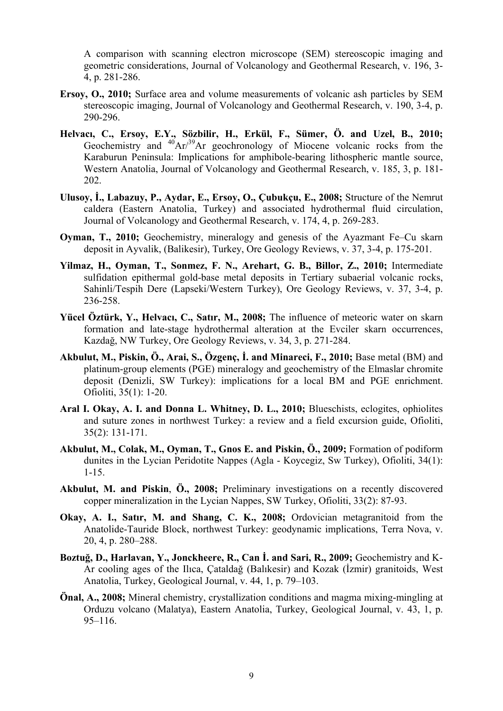[A comparison with scanning electron microscope \(SEM\) stereoscopic imaging and](http://www.sciencedirect.com/science?_ob=ArticleURL&_udi=B6VCS-50RP1YW-2&_user=10&_coverDate=10%2F01%2F2010&_rdoc=10&_fmt=high&_orig=browse&_origin=browse&_zone=rslt_list_item&_srch=doc-info(%23toc%235962%232010%23998039996%232388746%23FLA%23display%23Volume)&_cdi=5962&_sort=d&_docanchor=&_ct=12&_acct=C000050221&_version=1&_urlVersion=0&_userid=10&md5=37cc0fc5e0de5418db0fc09f3d9bf072&searchtype=a)  [geometric considerations](http://www.sciencedirect.com/science?_ob=ArticleURL&_udi=B6VCS-50RP1YW-2&_user=10&_coverDate=10%2F01%2F2010&_rdoc=10&_fmt=high&_orig=browse&_origin=browse&_zone=rslt_list_item&_srch=doc-info(%23toc%235962%232010%23998039996%232388746%23FLA%23display%23Volume)&_cdi=5962&_sort=d&_docanchor=&_ct=12&_acct=C000050221&_version=1&_urlVersion=0&_userid=10&md5=37cc0fc5e0de5418db0fc09f3d9bf072&searchtype=a), [Journal of Volcanology and Geothermal Research,](http://www.sciencedirect.com/science/journal/03770273) v[. 196, 3-](http://www.sciencedirect.com/science?_ob=PublicationURL&_tockey=%23TOC%235962%232010%23998039996%232388746%23FLA%23&_cdi=5962&_pubType=J&view=c&_auth=y&_acct=C000050221&_version=1&_urlVersion=0&_userid=10&md5=8cde740a2b8ea88d0144bfe4b19e9576) [4](http://www.sciencedirect.com/science?_ob=PublicationURL&_tockey=%23TOC%235962%232010%23998039996%232388746%23FLA%23&_cdi=5962&_pubType=J&view=c&_auth=y&_acct=C000050221&_version=1&_urlVersion=0&_userid=10&md5=8cde740a2b8ea88d0144bfe4b19e9576), p. 281-286.

- **Ersoy, O., 2010;** [Surface area and volume measurements of volcanic ash particles by SEM](http://www.sciencedirect.com/science?_ob=ArticleURL&_udi=B6VCS-4Y1NV3H-1&_user=10&_coverDate=02%2F20%2F2010&_rdoc=3&_fmt=high&_orig=browse&_origin=browse&_zone=rslt_list_item&_srch=doc-info(%23toc%235962%232010%23998099996%231667090%23FLA%23display%23Volume)&_cdi=5962&_sort=d&_docanchor=&_ct=11&_acct=C000050221&_version=1&_urlVersion=0&_userid=10&md5=dcc3d04acb46003bb39f9a8322b4ec50&searchtype=a)  [stereoscopic imaging](http://www.sciencedirect.com/science?_ob=ArticleURL&_udi=B6VCS-4Y1NV3H-1&_user=10&_coverDate=02%2F20%2F2010&_rdoc=3&_fmt=high&_orig=browse&_origin=browse&_zone=rslt_list_item&_srch=doc-info(%23toc%235962%232010%23998099996%231667090%23FLA%23display%23Volume)&_cdi=5962&_sort=d&_docanchor=&_ct=11&_acct=C000050221&_version=1&_urlVersion=0&_userid=10&md5=dcc3d04acb46003bb39f9a8322b4ec50&searchtype=a), [Journal of Volcanology and Geothermal Research,](http://www.sciencedirect.com/science/journal/03770273) [v. 190, 3-4,](http://www.sciencedirect.com/science?_ob=PublicationURL&_tockey=%23TOC%235962%232010%23998099996%231667090%23FLA%23&_cdi=5962&_pubType=J&view=c&_auth=y&_acct=C000050221&_version=1&_urlVersion=0&_userid=10&md5=414f0630379f7f898a833c41f54a216a) p. 290-296.
- **Helvacı, C., Ersoy, E.Y., Sözbilir, H., Erkül, F., Sümer, Ö. and Uzel, B., 2010;** [Geochemistry and](http://www.sciencedirect.com/science?_ob=ArticleURL&_udi=B6VCS-4WGMB66-1&_user=10&_coverDate=08%2F20%2F2009&_rdoc=3&_fmt=high&_orig=browse&_origin=browse&_zone=rslt_list_item&_srch=doc-info(%23toc%235962%232009%23998149996%231396074%23FLA%23display%23Volume)&_cdi=5962&_sort=d&_docanchor=&_ct=7&_acct=C000050221&_version=1&_urlVersion=0&_userid=10&md5=1860d5e920eb49ec6e87a93d7d611e26&searchtype=a)  $^{40}Ar/^{39}Ar$  geochronology of Miocene volcanic rocks from the [Karaburun Peninsula: Implications for amphibole-bearing lithospheric mantle source,](http://www.sciencedirect.com/science?_ob=ArticleURL&_udi=B6VCS-4WGMB66-1&_user=10&_coverDate=08%2F20%2F2009&_rdoc=3&_fmt=high&_orig=browse&_origin=browse&_zone=rslt_list_item&_srch=doc-info(%23toc%235962%232009%23998149996%231396074%23FLA%23display%23Volume)&_cdi=5962&_sort=d&_docanchor=&_ct=7&_acct=C000050221&_version=1&_urlVersion=0&_userid=10&md5=1860d5e920eb49ec6e87a93d7d611e26&searchtype=a)  [Western Anatolia](http://www.sciencedirect.com/science?_ob=ArticleURL&_udi=B6VCS-4WGMB66-1&_user=10&_coverDate=08%2F20%2F2009&_rdoc=3&_fmt=high&_orig=browse&_origin=browse&_zone=rslt_list_item&_srch=doc-info(%23toc%235962%232009%23998149996%231396074%23FLA%23display%23Volume)&_cdi=5962&_sort=d&_docanchor=&_ct=7&_acct=C000050221&_version=1&_urlVersion=0&_userid=10&md5=1860d5e920eb49ec6e87a93d7d611e26&searchtype=a), [Journal of Volcanology and Geothermal Research,](http://www.sciencedirect.com/science/journal/03770273) [v. 185, 3](http://www.sciencedirect.com/science?_ob=PublicationURL&_tockey=%23TOC%235962%232009%23998149996%231396074%23FLA%23&_cdi=5962&_pubType=J&view=c&_auth=y&_acct=C000050221&_version=1&_urlVersion=0&_userid=10&md5=f18c7e0f84fa32b915706c91b00b5941), p. 181- 202.
- **Ulusoy, İ., Labazuy, P., Aydar, E., Ersoy, O., Çubukçu, E., 2008;** Structure of the Nemrut caldera (Eastern Anatolia, Turkey) and associated hydrothermal fluid circulation, [Journal of Volcanology and Geothermal Research,](http://www.sciencedirect.com/science/journal/03770273) [v. 174, 4,](http://www.sciencedirect.com/science?_ob=PublicationURL&_tockey=%23TOC%235962%232008%23998259995%23692945%23FLA%23&_cdi=5962&_pubType=J&view=c&_auth=y&_acct=C000050221&_version=1&_urlVersion=0&_userid=10&md5=555e21489906f4c353afea66f9bdf084) p. 269-283.
- **Oyman, T., 2010;** [Geochemistry, mineralogy and genesis of the Ayazmant Fe–Cu skarn](http://www.sciencedirect.com/science?_ob=ArticleURL&_udi=B6V90-4YP8TGY-1&_user=10&_coverDate=06%2F30%2F2010&_rdoc=4&_fmt=high&_orig=browse&_origin=browse&_zone=rslt_list_item&_srch=doc-info(%23toc%235884%232010%23999629996%232057736%23FLA%23display%23Volume)&_cdi=5884&_sort=d&_docanchor=&_ct=8&_acct=C000050221&_version=1&_urlVersion=0&_userid=10&md5=e0cd2b8d26c6f69352e998e83e69b444&searchtype=a)  [deposit in Ayvalik, \(Balikesir\), Turkey,](http://www.sciencedirect.com/science?_ob=ArticleURL&_udi=B6V90-4YP8TGY-1&_user=10&_coverDate=06%2F30%2F2010&_rdoc=4&_fmt=high&_orig=browse&_origin=browse&_zone=rslt_list_item&_srch=doc-info(%23toc%235884%232010%23999629996%232057736%23FLA%23display%23Volume)&_cdi=5884&_sort=d&_docanchor=&_ct=8&_acct=C000050221&_version=1&_urlVersion=0&_userid=10&md5=e0cd2b8d26c6f69352e998e83e69b444&searchtype=a) [Ore Geology Reviews,](http://www.sciencedirect.com/science/journal/01691368) [v. 37, 3-4,](http://www.sciencedirect.com/science?_ob=PublicationURL&_tockey=%23TOC%235884%232010%23999629996%232057736%23FLA%23&_cdi=5884&_pubType=J&view=c&_auth=y&_acct=C000050221&_version=1&_urlVersion=0&_userid=10&md5=7b75368d960a3d9b867524e4eee963a4) p. 175-201.
- **Yilmaz, H., Oyman, T., Sonmez, F. N., Arehart, G. B., Billor, Z., 2010;** [Intermediate](http://www.sciencedirect.com/science?_ob=ArticleURL&_udi=B6V90-4YTN3TD-2&_user=10&_coverDate=06%2F30%2F2010&_rdoc=8&_fmt=high&_orig=browse&_origin=browse&_zone=rslt_list_item&_srch=doc-info(%23toc%235884%232010%23999629996%232057736%23FLA%23display%23Volume)&_cdi=5884&_sort=d&_docanchor=&_ct=8&_acct=C000050221&_version=1&_urlVersion=0&_userid=10&md5=53326b963094336e15fdd609d3fcfc39&searchtype=a)  [sulfidation epithermal gold-base metal deposits in Tertiary subaerial volcanic rocks,](http://www.sciencedirect.com/science?_ob=ArticleURL&_udi=B6V90-4YTN3TD-2&_user=10&_coverDate=06%2F30%2F2010&_rdoc=8&_fmt=high&_orig=browse&_origin=browse&_zone=rslt_list_item&_srch=doc-info(%23toc%235884%232010%23999629996%232057736%23FLA%23display%23Volume)&_cdi=5884&_sort=d&_docanchor=&_ct=8&_acct=C000050221&_version=1&_urlVersion=0&_userid=10&md5=53326b963094336e15fdd609d3fcfc39&searchtype=a)  [Sahinli/Tespih Dere \(Lapseki/Western Turkey\)](http://www.sciencedirect.com/science?_ob=ArticleURL&_udi=B6V90-4YTN3TD-2&_user=10&_coverDate=06%2F30%2F2010&_rdoc=8&_fmt=high&_orig=browse&_origin=browse&_zone=rslt_list_item&_srch=doc-info(%23toc%235884%232010%23999629996%232057736%23FLA%23display%23Volume)&_cdi=5884&_sort=d&_docanchor=&_ct=8&_acct=C000050221&_version=1&_urlVersion=0&_userid=10&md5=53326b963094336e15fdd609d3fcfc39&searchtype=a), [Ore Geology Reviews,](http://www.sciencedirect.com/science/journal/01691368) [v. 37, 3-4,](http://www.sciencedirect.com/science?_ob=PublicationURL&_tockey=%23TOC%235884%232010%23999629996%232057736%23FLA%23&_cdi=5884&_pubType=J&view=c&_auth=y&_acct=C000050221&_version=1&_urlVersion=0&_userid=10&md5=7b75368d960a3d9b867524e4eee963a4) p. 236-258.
- **Yücel Öztürk, Y., Helvacı, C., Satır, M., 2008;** [The influence of meteoric water on skarn](http://www.sciencedirect.com/science?_ob=ArticleURL&_udi=B6V90-4RR8YKV-1&_user=10&_coverDate=11%2F30%2F2008&_rdoc=7&_fmt=high&_orig=browse&_origin=browse&_zone=rslt_list_item&_srch=doc-info(%23toc%235884%232008%23999659996%23699359%23FLA%23display%23Volume)&_cdi=5884&_sort=d&_docanchor=&_ct=20&_acct=C000050221&_version=1&_urlVersion=0&_userid=10&md5=f8313d0367fdd794b0d8711e8e1f8196&searchtype=a)  [formation and late-stage hydrothermal alteration at the Evciler skarn occurrences,](http://www.sciencedirect.com/science?_ob=ArticleURL&_udi=B6V90-4RR8YKV-1&_user=10&_coverDate=11%2F30%2F2008&_rdoc=7&_fmt=high&_orig=browse&_origin=browse&_zone=rslt_list_item&_srch=doc-info(%23toc%235884%232008%23999659996%23699359%23FLA%23display%23Volume)&_cdi=5884&_sort=d&_docanchor=&_ct=20&_acct=C000050221&_version=1&_urlVersion=0&_userid=10&md5=f8313d0367fdd794b0d8711e8e1f8196&searchtype=a)  Kazdağ[, NW Turkey,](http://www.sciencedirect.com/science?_ob=ArticleURL&_udi=B6V90-4RR8YKV-1&_user=10&_coverDate=11%2F30%2F2008&_rdoc=7&_fmt=high&_orig=browse&_origin=browse&_zone=rslt_list_item&_srch=doc-info(%23toc%235884%232008%23999659996%23699359%23FLA%23display%23Volume)&_cdi=5884&_sort=d&_docanchor=&_ct=20&_acct=C000050221&_version=1&_urlVersion=0&_userid=10&md5=f8313d0367fdd794b0d8711e8e1f8196&searchtype=a) [Ore Geology Reviews](http://www.sciencedirect.com/science/journal/01691368), [v. 34, 3](http://www.sciencedirect.com/science?_ob=PublicationURL&_tockey=%23TOC%235884%232008%23999659996%23699359%23FLA%23&_cdi=5884&_pubType=J&view=c&_auth=y&_acct=C000050221&_version=1&_urlVersion=0&_userid=10&md5=49986456d12abc855b03eb91a29d21ac), p. 271-284.
- **Akbulut, M., Piskin, Ö., Arai, S., Özgenç, İ. and Minareci, F., 2010;** Base metal (BM) and platinum-group elements (PGE) mineralogy and geochemistry of the Elmaslar chromite deposit (Denizli, SW Turkey): implications for a local BM and PGE enrichment. Ofioliti, 35(1): 1-20.
- **Aral I. Okay, A. I. and Donna L. Whitney, D. L., 2010;** Blueschists, eclogites, ophiolites and suture zones in northwest Turkey: a review and a field excursion guide, Ofioliti, 35(2): 131-171.
- **Akbulut, M., Colak, M., Oyman, T., Gnos E. and Piskin, Ö., 2009;** Formation of podiform dunites in the Lycian Peridotite Nappes (Agla - Koycegiz, Sw Turkey), Ofioliti, 34(1): 1-15.
- **Akbulut, M. and Piskin**, **Ö., 2008;** Preliminary investigations on a recently discovered copper mineralization in the Lycian Nappes, SW Turkey, Ofioliti, 33(2): 87-93.
- **Okay, A. I., Satır, M. and Shang, C. K., 2008;** Ordovician metagranitoid from the Anatolide-Tauride Block, northwest Turkey: geodynamic implications, Terra Nova, [v.](http://onlinelibrary.wiley.com/doi/10.1111/ter.2008.20.issue-4/issuetoc)  [20, 4,](http://onlinelibrary.wiley.com/doi/10.1111/ter.2008.20.issue-4/issuetoc) p. 280–288.
- **Boztuğ, D., Harlavan, Y., Jonckheere, R., Can İ. and Sari, R., 2009;** Geochemistry and K-Ar cooling ages of the Ilıca, Çataldağ (Balıkesir) and Kozak (İzmir) granitoids, West Anatolia, Turkey, Geological Journal, [v. 44, 1,](http://onlinelibrary.wiley.com/doi/10.1002/gj.v44:1/issuetoc) p. 79–103.
- **Önal, A., 2008;** Mineral chemistry, crystallization conditions and magma mixing-mingling at Orduzu volcano (Malatya), Eastern Anatolia, Turkey, Geological Journal, [v. 43, 1,](http://onlinelibrary.wiley.com/doi/10.1002/gj.v43:1/issuetoc) p. 95–116.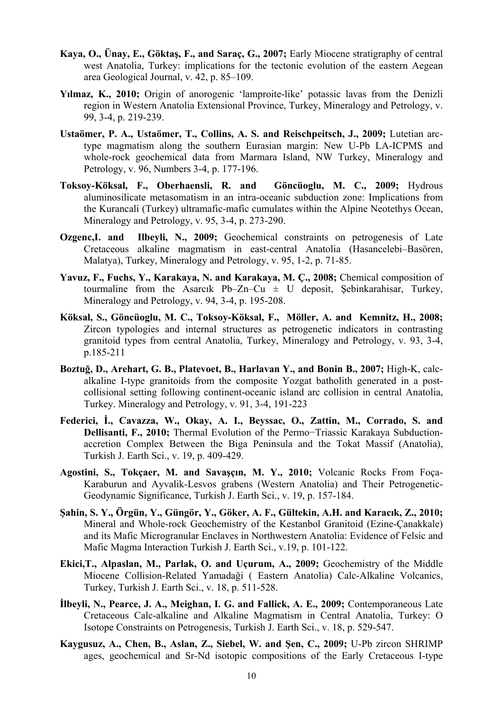- **Kaya, O., Ünay, E., Göktaş, F., and Saraç, G., 2007;** Early Miocene stratigraphy of central west Anatolia, Turkey: implications for the tectonic evolution of the eastern Aegean area Geological Journal, v. 42, p. 85–109.
- **Yılmaz, K., 2010;** Origin of anorogenic 'lamproite-like' potassic lavas from the Denizli region in Western Anatolia Extensional Province, Turkey, Mineralogy [and Petrology](http://www.springerlink.com/content/0930-0708/), [v.](http://www.springerlink.com/content/0930-0708/99/3-4/)  [99, 3-4](http://www.springerlink.com/content/0930-0708/99/3-4/), p. 219-239.
- **[Ustaömer,](http://www.springerlink.com/content/?Author=P.+Ayda+Usta%c3%b6mer) P. A., [Ustaömer](http://www.springerlink.com/content/?Author=Timur+Usta%c3%b6mer), T., [Collins,](http://www.springerlink.com/content/?Author=Alan+S.+Collins) A. S. and [Reischpeitsch](http://www.springerlink.com/content/?Author=J%c3%b6rg+Reischpeitsch), J., 2009;** Lutetian arctype magmatism along the southern Eurasian margin: New U-Pb LA-ICPMS and whole-rock geochemical data from Marmara Island, NW Turkey, [Mineralogy and](http://www.springerlink.com/content/0930-0708/)  [Petrology,](http://www.springerlink.com/content/0930-0708/) [v. 96, Numbers 3-4,](http://www.springerlink.com/content/0930-0708/96/3-4/) p. 177-196.
- **[Toksoy-Köksal](http://www.springerlink.com/content/?Author=Fatma+Toksoy-K%c3%b6ksal), F., [Oberhaensli](http://www.springerlink.com/content/?Author=Roland+Oberhaensli), R. and [Göncüoglu,](http://www.springerlink.com/content/?Author=M.+Cemal+G%c3%b6nc%c3%bcoglu) M. C., 2009;** Hydrous aluminosilicate metasomatism in an intra-oceanic subduction zone: Implications from the Kurancali (Turkey) ultramafic-mafic cumulates within the Alpine Neotethys Ocean, [Mineralogy and Petrology](http://www.springerlink.com/content/0930-0708/), [v. 95, 3-4](http://www.springerlink.com/content/0930-0708/95/3-4/), p. 273-290.
- **[Ozgenc,](http://www.springerlink.com/content/?Author=I.+Ozgenc)I. and [Ilbeyli,](http://www.springerlink.com/content/?Author=N.+Ilbeyli) N., 2009;** Geochemical constraints on petrogenesis of Late Cretaceous alkaline magmatism in east-central Anatolia (Hasancelebi–Basören, Malatya), Turkey, [Mineralogy and Petrology](http://www.springerlink.com/content/0930-0708/), [v. 95, 1-2](http://www.springerlink.com/content/0930-0708/95/1-2/), p. 71-85.
- **[Yavuz,](http://www.springerlink.com/content/?Author=F.+Yavuz) F., [Fuchs](http://www.springerlink.com/content/?Author=Y.+Fuchs), Y.[, Karakaya](http://www.springerlink.com/content/?Author=N.+Karakaya), N. and [Karakaya,](http://www.springerlink.com/content/?Author=M.+%c3%87.+Karakaya) M. Ç., 2008;** Chemical composition of tourmaline from the Asarcık Pb–Zn–Cu  $\pm$  U deposit, Şebinkarahisar, Turkey, [Mineralogy and Petrology](http://www.springerlink.com/content/0930-0708/), [v. 94, 3-4](http://www.springerlink.com/content/0930-0708/94/3-4/), p. 195-208.
- **[Köksal,](http://www.springerlink.com/content/?Author=S.+K%c3%b6ksal) S., [Göncüoglu](http://www.springerlink.com/content/?Author=M.+Cemal+G%c3%b6nc%c3%bcoglu), M. C., [Toksoy-Köksal,](http://www.springerlink.com/content/?Author=F.+Toksoy-K%c3%b6ksal) F., [Möller,](http://www.springerlink.com/content/?Author=A.+M%c3%b6ller) A. and [Kemnitz](http://www.springerlink.com/content/?Author=H.+Kemnitz), H., 2008;** Zircon typologies and internal structures as petrogenetic indicators in contrasting granitoid types from central Anatolia, Turkey, [Mineralogy and Petrology](http://www.springerlink.com/content/0930-0708/), [v. 93, 3-4](http://www.springerlink.com/content/0930-0708/93/3-4/), p.185-211
- **[Boztu](http://www.springerlink.com/content/?Author=D.+Boztu%c4%9f)ğ, D., [Arehart,](http://www.springerlink.com/content/?Author=G.+B.+Arehart) G. B., [Platevoet](http://www.springerlink.com/content/?Author=B.+Platevoet), B., [Harlavan](http://www.springerlink.com/content/?Author=Y.+Harlavan) Y., an[d Bonin](http://www.springerlink.com/content/?Author=B.+Bonin) B., 2007;** [High-K, calc](http://www.springerlink.com/content/l666420n26315222/)[alkaline I-type granitoids from the composite Yozgat batholith generated in a post](http://www.springerlink.com/content/l666420n26315222/)[collisional setting following continent-oceanic island arc collision in central Anatolia,](http://www.springerlink.com/content/l666420n26315222/) Turkey. Mineralogy and Petrology, [v. 91,](http://www.springerlink.com/content/0930-0708/91/) 3-4, 191-223
- **Federici, İ., Cavazza, W., Okay, A. I., Beyssac, O., Zattin, M., Corrado, S. and Dellisanti, F., 2010;** Thermal Evolution of the Permo−Triassic Karakaya Subductionaccretion Complex Between the Biga Peninsula and the Tokat Massif (Anatolia), Turkish J. Earth Sci., v. 19, p. 409-429.
- **Agostini, S., Tokçaer, M. and Savaşçın, M. Y., 2010;** Volcanic Rocks From Foça-Karaburun and Ayvalik-Lesvos grabens (Western Anatolia) and Their Petrogenetic-Geodynamic Significance, Turkish J. Earth Sci., v. 19, p. 157-184.
- **Şahin, S. Y., Örgün, Y., Güngör, Y., Göker, A. F., Gültekin, A.H. and Karacık, Z., 2010;** Mineral and Whole-rock Geochemistry of the Kestanbol Granitoid (Ezine-Çanakkale) and its Mafic Microgranular Enclaves in Northwestern Anatolia: Evidence of Felsic and Mafic Magma Interaction Turkish J. Earth Sci., v.19, p. 101-122.
- **Ekici,T., Alpaslan, M., Parlak, O. and Uçurum, A., 2009;** Geochemistry of the Middle Miocene Collision-Related Yamadaği ( Eastern Anatolia) Calc-Alkaline Volcanics, Turkey, Turkish J. Earth Sci., v. 18, p. 511-528.
- **İlbeyli, N., Pearce, J. A., Meighan, I. G. and Fallick, A. E., 2009;** Contemporaneous Late Cretaceous Calc-alkaline and Alkaline Magmatism in Central Anatolia, Turkey: O Isotope Constraints on Petrogenesis, Turkish J. Earth Sci., v. 18, p. 529-547.
- **Kaygusuz, A., Chen, B., Aslan, Z., Siebel, W. and Şen, C., 2009;** U-Pb zircon SHRIMP ages, geochemical and Sr-Nd isotopic compositions of the Early Cretaceous I-type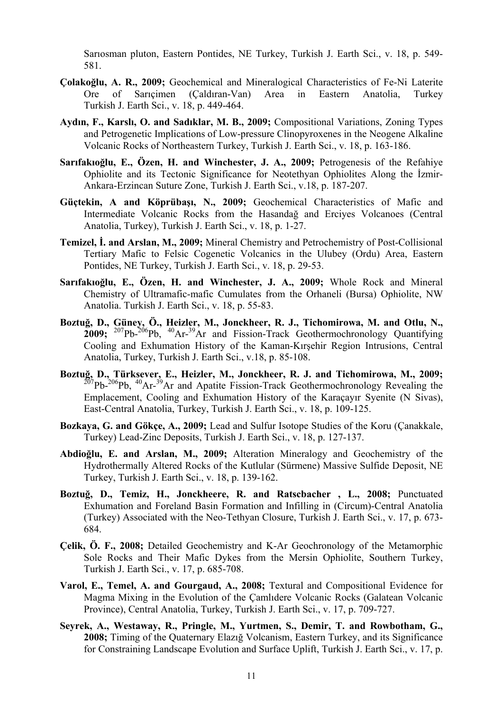Sarıosman pluton, Eastern Pontides, NE Turkey, Turkish J. Earth Sci., v. 18, p. 549- 581.

- **Çolakoğlu, A. R., 2009;** Geochemical and Mineralogical Characteristics of Fe-Ni Laterite Ore of Sarıçimen (Çaldıran-Van) Area in Eastern Anatolia, Turkey Turkish J. Earth Sci., v. 18, p. 449-464.
- **Aydın, F., Karslı, O. and Sadıklar, M. B., 2009;** Compositional Variations, Zoning Types and Petrogenetic Implications of Low-pressure Clinopyroxenes in the Neogene Alkaline Volcanic Rocks of Northeastern Turkey, Turkish J. Earth Sci., v. 18, p. 163-186.
- **Sarıfakıoğlu, E., Özen, H. and Winchester, J. A., 2009;** Petrogenesis of the Refahiye Ophiolite and its Tectonic Significance for Neotethyan Ophiolites Along the İzmir-Ankara-Erzincan Suture Zone, Turkish J. Earth Sci., v.18, p. 187-207.
- **Güçtekin, A and Köprübaşı, N., 2009;** Geochemical Characteristics of Mafic and Intermediate Volcanic Rocks from the Hasandağ and Erciyes Volcanoes (Central Anatolia, Turkey), Turkish J. Earth Sci., v. 18, p. 1-27.
- **Temizel, İ. and Arslan, M., 2009;** Mineral Chemistry and Petrochemistry of Post-Collisional Tertiary Mafic to Felsic Cogenetic Volcanics in the Ulubey (Ordu) Area, Eastern Pontides, NE Turkey, Turkish J. Earth Sci., v. 18, p. 29-53.
- **Sarıfakıoğlu, E., Özen, H. and Winchester, J. A., 2009;** Whole Rock and Mineral Chemistry of Ultramafic-mafic Cumulates from the Orhaneli (Bursa) Ophiolite, NW Anatolia. Turkish J. Earth Sci., v. 18, p. 55-83.
- **Boztuğ, D., Güney, Ö., Heizler, M., Jonckheer, R. J., Tichomirowa, M. and Otlu, N., 2009;** 207Pb-206Pb, 40Ar-39Ar and Fission-Track Geothermochronology Quantifying Cooling and Exhumation History of the Kaman-Kırşehir Region Intrusions, Central Anatolia, Turkey, Turkish J. Earth Sci., v.18, p. 85-108.
- **Boztuğ, D., Türksever, E., Heizler, M., Jonckheer, R. J. and Tichomirowa, M., 2009;**  $^{207}Pb^{-206}Pb$ ,  $^{40}Ar^{-39}Ar$  and Apatite Fission-Track Geothermochronology Revealing the Emplacement, Cooling and Exhumation History of the Karaçayır Syenite (N Sivas), East-Central Anatolia, Turkey, Turkish J. Earth Sci., v. 18, p. 109-125.
- **Bozkaya, G. and Gökçe, A., 2009;** Lead and Sulfur Isotope Studies of the Koru (Çanakkale, Turkey) Lead-Zinc Deposits, Turkish J. Earth Sci., v. 18, p. 127-137.
- **Abdioğlu, E. and Arslan, M., 2009;** Alteration Mineralogy and Geochemistry of the Hydrothermally Altered Rocks of the Kutlular (Sürmene) Massive Sulfide Deposit, NE Turkey, Turkish J. Earth Sci., v. 18, p. 139-162.
- **Boztuğ, D., Temiz, H., Jonckheere, R. and Ratscbacher , L., 2008;** Punctuated Exhumation and Foreland Basin Formation and Infilling in (Circum)-Central Anatolia (Turkey) Associated with the Neo-Tethyan Closure, Turkish J. Earth Sci., v. 17, p. 673- 684.
- **Çelik, Ö. F., 2008;** Detailed Geochemistry and K-Ar Geochronology of the Metamorphic Sole Rocks and Their Mafic Dykes from the Mersin Ophiolite, Southern Turkey, Turkish J. Earth Sci., v. 17, p. 685-708.
- **Varol, E., Temel, A. and Gourgaud, A., 2008;** Textural and Compositional Evidence for Magma Mixing in the Evolution of the Çamlıdere Volcanic Rocks (Galatean Volcanic Province), Central Anatolia, Turkey, Turkish J. Earth Sci., v. 17, p. 709-727.
- **Seyrek, A., Westaway, R., Pringle, M., Yurtmen, S., Demir, T. and Rowbotham, G., 2008;** Timing of the Quaternary Elazığ Volcanism, Eastern Turkey, and its Significance for Constraining Landscape Evolution and Surface Uplift, Turkish J. Earth Sci., v. 17, p.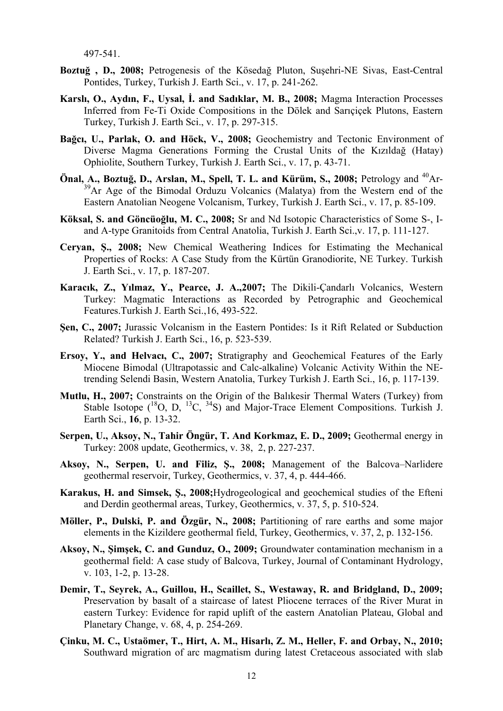497-541.

- **Boztuğ , D., 2008;** Petrogenesis of the Kösedağ Pluton, Suşehri-NE Sivas, East-Central Pontides, Turkey, Turkish J. Earth Sci., v. 17, p. 241-262.
- **Karslı, O., Aydın, F., Uysal, İ. and Sadıklar, M. B., 2008;** Magma Interaction Processes Inferred from Fe-Ti Oxide Compositions in the Dölek and Sarıçiçek Plutons, Eastern Turkey, Turkish J. Earth Sci., v. 17, p. 297-315.
- **Bağcı, U., Parlak, O. and Höck, V., 2008;** Geochemistry and Tectonic Environment of Diverse Magma Generations Forming the Crustal Units of the Kızıldağ (Hatay) Ophiolite, Southern Turkey, Turkish J. Earth Sci., v. 17, p. 43-71.
- Önal, A., Boztuğ, D., Arslan, M., Spell, T. L. and Kürüm, S., 2008; Petrology and <sup>40</sup>Ar-<sup>39</sup>Ar Age of the Bimodal Orduzu Volcanics (Malatya) from the Western end of the Eastern Anatolian Neogene Volcanism, Turkey, Turkish J. Earth Sci., v. 17, p. 85-109.
- **Köksal, S. and Göncüoğlu, M. C., 2008;** Sr and Nd Isotopic Characteristics of Some S-, Iand A-type Granitoids from Central Anatolia, Turkish J. Earth Sci.,v. 17, p. 111-127.
- **Ceryan, Ş., 2008;** New Chemical Weathering Indices for Estimating the Mechanical Properties of Rocks: A Case Study from the Kürtün Granodiorite, NE Turkey. Turkish J. Earth Sci., v. 17, p. 187-207.
- **Karacık, Z., Yılmaz, Y., Pearce, J. A.,2007;** The Dikili-Çandarlı Volcanics, Western Turkey: Magmatic Interactions as Recorded by Petrographic and Geochemical Features.Turkish J. Earth Sci.,16, 493-522.
- **Şen, C., 2007;** Jurassic Volcanism in the Eastern Pontides: Is it Rift Related or Subduction Related? Turkish J. Earth Sci., 16, p. 523-539.
- **Ersoy, Y., and Helvacı, C., 2007;** Stratigraphy and Geochemical Features of the Early Miocene Bimodal (Ultrapotassic and Calc-alkaline) Volcanic Activity Within the NEtrending Selendi Basin, Western Anatolia, Turkey Turkish J. Earth Sci., 16, p. 117-139.
- **Mutlu, H., 2007;** Constraints on the Origin of the Balıkesir Thermal Waters (Turkey) from Stable Isotope  $(^{18}O, D, ^{13}C, ^{34}S)$  and Major-Trace Element Compositions. Turkish J. Earth Sci., **16**, p. 13-32.
- **Serpen, U., Aksoy, N., Tahir Öngür, T. And Korkmaz, E. D., 2009;** [Geothermal energy in](http://www.sciencedirect.com/science?_ob=ArticleURL&_udi=B6VCN-4VH32YV-2&_user=10&_coverDate=06%2F30%2F2009&_alid=1712594551&_rdoc=3&_fmt=high&_orig=search&_origin=search&_zone=rslt_list_item&_cdi=5959&_sort=r&_st=4&_docanchor=&_ct=4362&_acct=C000050221&_version=1&_urlVersion=0&_userid=10&md5=5b68bc3c57c5a75c87efb45333dfcc10&searchtype=a)  [Turkey: 2008 update](http://www.sciencedirect.com/science?_ob=ArticleURL&_udi=B6VCN-4VH32YV-2&_user=10&_coverDate=06%2F30%2F2009&_alid=1712594551&_rdoc=3&_fmt=high&_orig=search&_origin=search&_zone=rslt_list_item&_cdi=5959&_sort=r&_st=4&_docanchor=&_ct=4362&_acct=C000050221&_version=1&_urlVersion=0&_userid=10&md5=5b68bc3c57c5a75c87efb45333dfcc10&searchtype=a), Geothermics, v. 38, 2, p. 227-237.
- **Aksoy, N., Serpen, U. and Filiz, Ş., 2008;** [Management of the Balcova–Narlidere](http://www.sciencedirect.com/science?_ob=ArticleURL&_udi=B6VCN-4S0RC1V-1&_user=10&_coverDate=08%2F31%2F2008&_alid=1712594551&_rdoc=23&_fmt=high&_orig=search&_origin=search&_zone=rslt_list_item&_cdi=5959&_sort=r&_st=4&_docanchor=&_ct=4362&_acct=C000050221&_version=1&_urlVersion=0&_userid=10&md5=7cd6ca76387e16046401e9b5e9c68575&searchtype=a)  [geothermal reservoir, Turkey,](http://www.sciencedirect.com/science?_ob=ArticleURL&_udi=B6VCN-4S0RC1V-1&_user=10&_coverDate=08%2F31%2F2008&_alid=1712594551&_rdoc=23&_fmt=high&_orig=search&_origin=search&_zone=rslt_list_item&_cdi=5959&_sort=r&_st=4&_docanchor=&_ct=4362&_acct=C000050221&_version=1&_urlVersion=0&_userid=10&md5=7cd6ca76387e16046401e9b5e9c68575&searchtype=a) Geothermics, v. 37, 4, p. 444-466.
- **Karakus, H. and Simsek, Ş., 2008;**[Hydrogeological and geochemical studies of the Efteni](http://www.sciencedirect.com/science?_ob=ArticleURL&_udi=B6VCN-4T1X2D0-1&_user=10&_coverDate=10%2F31%2F2008&_alid=1712594551&_rdoc=38&_fmt=high&_orig=search&_origin=search&_zone=rslt_list_item&_cdi=5959&_sort=r&_st=4&_docanchor=&view=c&_ct=4362&_acct=C000050221&_version=1&_urlVersion=0&_userid=10&md5=917c43c12c0efb657dcd4a344248ed17&searchtype=a)  [and Derdin geothermal areas, Turkey](http://www.sciencedirect.com/science?_ob=ArticleURL&_udi=B6VCN-4T1X2D0-1&_user=10&_coverDate=10%2F31%2F2008&_alid=1712594551&_rdoc=38&_fmt=high&_orig=search&_origin=search&_zone=rslt_list_item&_cdi=5959&_sort=r&_st=4&_docanchor=&view=c&_ct=4362&_acct=C000050221&_version=1&_urlVersion=0&_userid=10&md5=917c43c12c0efb657dcd4a344248ed17&searchtype=a), Geothermics, v. 37, 5, p. 510-524.
- **Möller, P., Dulski, P. and Özgür, N., 2008;** [Partitioning of rare earths and some major](http://www.sciencedirect.com/science?_ob=ArticleURL&_udi=B6VCN-4RDBYVS-1&_user=10&_coverDate=04%2F30%2F2008&_alid=1712621646&_rdoc=19&_fmt=high&_orig=search&_origin=search&_zone=rslt_list_item&_cdi=5959&_st=5&_docanchor=&_ct=1299&_acct=C000050221&_version=1&_urlVersion=0&_userid=10&md5=68029fe4f3f70b33b19acfc20a318cb7&searchtype=a)  [elements in the Kizildere geothermal field, Turkey](http://www.sciencedirect.com/science?_ob=ArticleURL&_udi=B6VCN-4RDBYVS-1&_user=10&_coverDate=04%2F30%2F2008&_alid=1712621646&_rdoc=19&_fmt=high&_orig=search&_origin=search&_zone=rslt_list_item&_cdi=5959&_st=5&_docanchor=&_ct=1299&_acct=C000050221&_version=1&_urlVersion=0&_userid=10&md5=68029fe4f3f70b33b19acfc20a318cb7&searchtype=a), Geothermics, v. 37, 2, p. 132-156.
- Aksoy, N., Simsek, C. and Gunduz, O., 2009; Groundwater contamination mechanism in a [geothermal field: A case study of Balcova, Turkey](http://www.sciencedirect.com/science?_ob=ArticleURL&_udi=B6V94-4TF7C4N-1&_user=10&_coverDate=01%2F07%2F2009&_alid=1712594551&_rdoc=13&_fmt=high&_orig=search&_origin=search&_zone=rslt_list_item&_cdi=5888&_sort=r&_st=4&_docanchor=&_ct=4362&_acct=C000050221&_version=1&_urlVersion=0&_userid=10&md5=f3b2a06299a5e2ec9130d56d7ddd4231&searchtype=a), Journal of Contaminant Hydrology, v. 103, 1-2, p. 13-28.
- **Demir, T., Seyrek, A., Guillou, H., Scaillet, S., Westaway, R. and Bridgland, D., 2009;** [Preservation by basalt of a staircase of latest Pliocene terraces of the River Murat in](http://www.sciencedirect.com/science?_ob=ArticleURL&_udi=B6VF0-4W0SK2H-1&_user=10&_coverDate=09%2F30%2F2009&_alid=1712594551&_rdoc=16&_fmt=high&_orig=search&_origin=search&_zone=rslt_list_item&_cdi=5996&_sort=r&_st=4&_docanchor=&_ct=4362&_acct=C000050221&_version=1&_urlVersion=0&_userid=10&md5=75897034f46d11beb6cfc28bb682db99&searchtype=a)  [eastern Turkey: Evidence for rapid uplift of the eastern Anatolian Plateau](http://www.sciencedirect.com/science?_ob=ArticleURL&_udi=B6VF0-4W0SK2H-1&_user=10&_coverDate=09%2F30%2F2009&_alid=1712594551&_rdoc=16&_fmt=high&_orig=search&_origin=search&_zone=rslt_list_item&_cdi=5996&_sort=r&_st=4&_docanchor=&_ct=4362&_acct=C000050221&_version=1&_urlVersion=0&_userid=10&md5=75897034f46d11beb6cfc28bb682db99&searchtype=a), Global and Planetary Change, v. 68, 4, p. 254-269.
- **Çinku, M. C., Ustaömer, T., Hirt, A. M., Hisarlı, Z. M., Heller, F. and Orbay, N., 2010;** [Southward migration of arc magmatism during latest Cretaceous associated with slab](http://www.sciencedirect.com/science?_ob=ArticleURL&_udi=B6V6S-50BB5G9-1&_user=10&_coverDate=09%2F30%2F2010&_alid=1712619345&_rdoc=2&_fmt=high&_orig=search&_origin=search&_zone=rslt_list_item&_cdi=5822&_st=5&_docanchor=&_ct=19&_acct=C000050221&_version=1&_urlVersion=0&_userid=10&md5=ba280fcde094411f0fa878a56ccf7c67&searchtype=a)